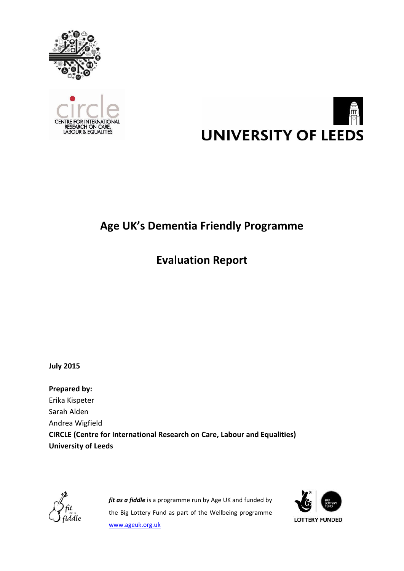





# **Age UK's Dementia Friendly Programme**

# **Evaluation Report**

**July 2015**

**Prepared by:** Erika Kispeter Sarah Alden Andrea Wigfield **CIRCLE (Centre for International Research on Care, Labour and Equalities) University of Leeds**



*fit as a fiddle* is a programme run by Age UK and funded by the Big Lottery Fund as part of the Wellbeing programme [www.ageuk.org.uk](http://www.ageuk.org.uk/)

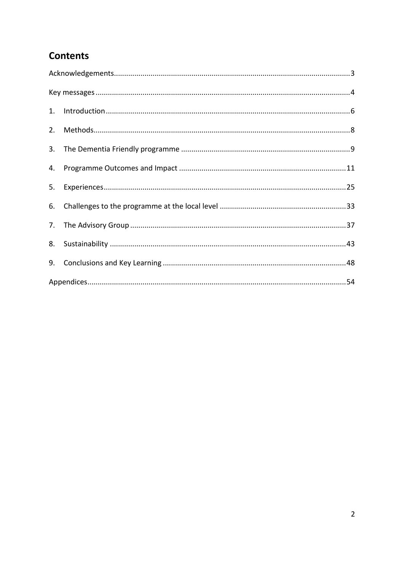## **Contents**

| 2. |  |
|----|--|
|    |  |
|    |  |
| 5. |  |
| 6. |  |
|    |  |
|    |  |
|    |  |
|    |  |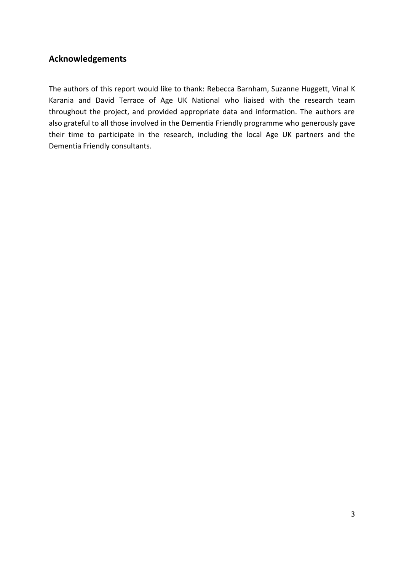## <span id="page-2-0"></span>**Acknowledgements**

The authors of this report would like to thank: Rebecca Barnham, Suzanne Huggett, Vinal K Karania and David Terrace of Age UK National who liaised with the research team throughout the project, and provided appropriate data and information. The authors are also grateful to all those involved in the Dementia Friendly programme who generously gave their time to participate in the research, including the local Age UK partners and the Dementia Friendly consultants.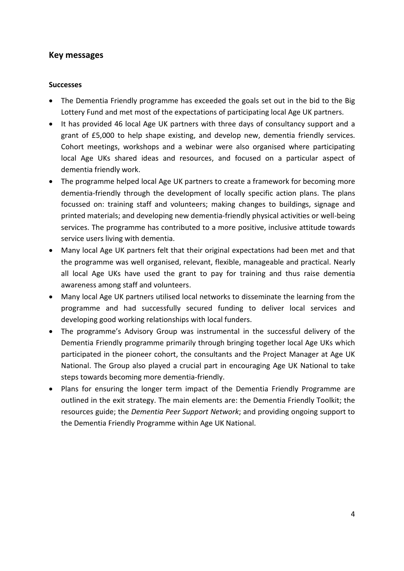### <span id="page-3-0"></span>**Key messages**

#### **Successes**

- The Dementia Friendly programme has exceeded the goals set out in the bid to the Big Lottery Fund and met most of the expectations of participating local Age UK partners.
- It has provided 46 local Age UK partners with three days of consultancy support and a grant of £5,000 to help shape existing, and develop new, dementia friendly services. Cohort meetings, workshops and a webinar were also organised where participating local Age UKs shared ideas and resources, and focused on a particular aspect of dementia friendly work.
- The programme helped local Age UK partners to create a framework for becoming more dementia-friendly through the development of locally specific action plans. The plans focussed on: training staff and volunteers; making changes to buildings, signage and printed materials; and developing new dementia-friendly physical activities or well-being services. The programme has contributed to a more positive, inclusive attitude towards service users living with dementia.
- Many local Age UK partners felt that their original expectations had been met and that the programme was well organised, relevant, flexible, manageable and practical. Nearly all local Age UKs have used the grant to pay for training and thus raise dementia awareness among staff and volunteers.
- Many local Age UK partners utilised local networks to disseminate the learning from the programme and had successfully secured funding to deliver local services and developing good working relationships with local funders.
- The programme's Advisory Group was instrumental in the successful delivery of the Dementia Friendly programme primarily through bringing together local Age UKs which participated in the pioneer cohort, the consultants and the Project Manager at Age UK National. The Group also played a crucial part in encouraging Age UK National to take steps towards becoming more dementia-friendly.
- Plans for ensuring the longer term impact of the Dementia Friendly Programme are outlined in the exit strategy. The main elements are: the Dementia Friendly Toolkit; the resources guide; the *Dementia Peer Support Network*; and providing ongoing support to the Dementia Friendly Programme within Age UK National.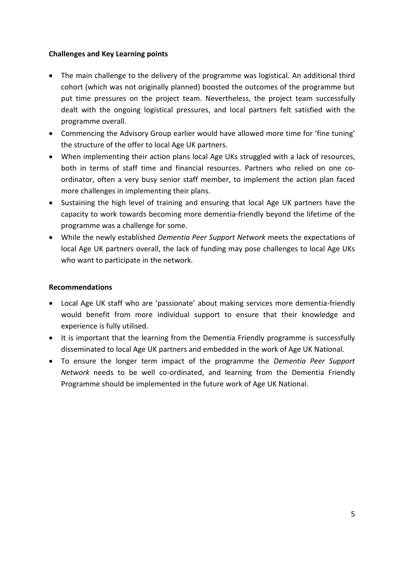#### **Challenges and Key Learning points**

- The main challenge to the delivery of the programme was logistical. An additional third cohort (which was not originally planned) boosted the outcomes of the programme but put time pressures on the project team. Nevertheless, the project team successfully dealt with the ongoing logistical pressures, and local partners felt satisfied with the programme overall.
- Commencing the Advisory Group earlier would have allowed more time for 'fine tuning' the structure of the offer to local Age UK partners.
- When implementing their action plans local Age UKs struggled with a lack of resources, both in terms of staff time and financial resources. Partners who relied on one coordinator, often a very busy senior staff member, to implement the action plan faced more challenges in implementing their plans.
- Sustaining the high level of training and ensuring that local Age UK partners have the capacity to work towards becoming more dementia-friendly beyond the lifetime of the programme was a challenge for some.
- While the newly established *Dementia Peer Support Network* meets the expectations of local Age UK partners overall, the lack of funding may pose challenges to local Age UKs who want to participate in the network.

#### **Recommendations**

- Local Age UK staff who are 'passionate' about making services more dementia-friendly would benefit from more individual support to ensure that their knowledge and experience is fully utilised.
- It is important that the learning from the Dementia Friendly programme is successfully disseminated to local Age UK partners and embedded in the work of Age UK National.
- To ensure the longer term impact of the programme the *Dementia Peer Support Network* needs to be well co-ordinated, and learning from the Dementia Friendly Programme should be implemented in the future work of Age UK National.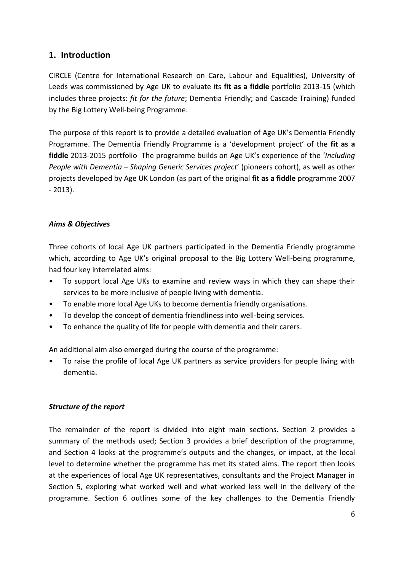## <span id="page-5-0"></span>**1. Introduction**

CIRCLE (Centre for International Research on Care, Labour and Equalities), University of Leeds was commissioned by Age UK to evaluate its **fit as a fiddle** portfolio 2013-15 (which includes three projects: *fit for the future*; Dementia Friendly; and Cascade Training) funded by the Big Lottery Well-being Programme.

The purpose of this report is to provide a detailed evaluation of Age UK's Dementia Friendly Programme. The Dementia Friendly Programme is a 'development project' of the **fit as a fiddle** 2013-2015 portfolio The programme builds on Age UK's experience of the '*Including People with Dementia – Shaping Generic Services project*' (pioneers cohort), as well as other projects developed by Age UK London (as part of the original **fit as a fiddle** programme 2007 - 2013).

#### *Aims & Objectives*

Three cohorts of local Age UK partners participated in the Dementia Friendly programme which, according to Age UK's original proposal to the Big Lottery Well-being programme, had four key interrelated aims:

- To support local Age UKs to examine and review ways in which they can shape their services to be more inclusive of people living with dementia.
- To enable more local Age UKs to become dementia friendly organisations.
- To develop the concept of dementia friendliness into well-being services.
- To enhance the quality of life for people with dementia and their carers.

An additional aim also emerged during the course of the programme:

• To raise the profile of local Age UK partners as service providers for people living with dementia.

#### *Structure of the report*

The remainder of the report is divided into eight main sections. Section 2 provides a summary of the methods used; Section 3 provides a brief description of the programme, and Section 4 looks at the programme's outputs and the changes, or impact, at the local level to determine whether the programme has met its stated aims. The report then looks at the experiences of local Age UK representatives, consultants and the Project Manager in Section 5, exploring what worked well and what worked less well in the delivery of the programme. Section 6 outlines some of the key challenges to the Dementia Friendly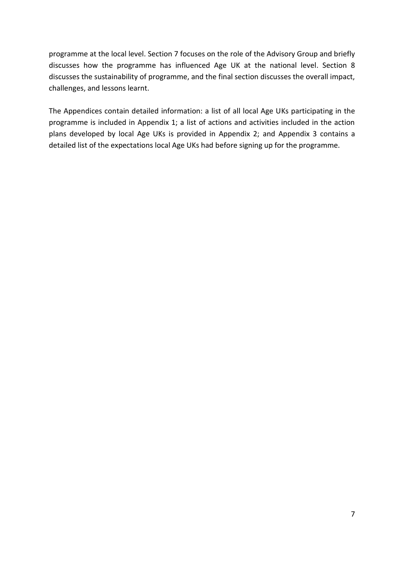programme at the local level. Section 7 focuses on the role of the Advisory Group and briefly discusses how the programme has influenced Age UK at the national level. Section 8 discusses the sustainability of programme, and the final section discusses the overall impact, challenges, and lessons learnt.

The Appendices contain detailed information: a list of all local Age UKs participating in the programme is included in Appendix 1; a list of actions and activities included in the action plans developed by local Age UKs is provided in Appendix 2; and Appendix 3 contains a detailed list of the expectations local Age UKs had before signing up for the programme.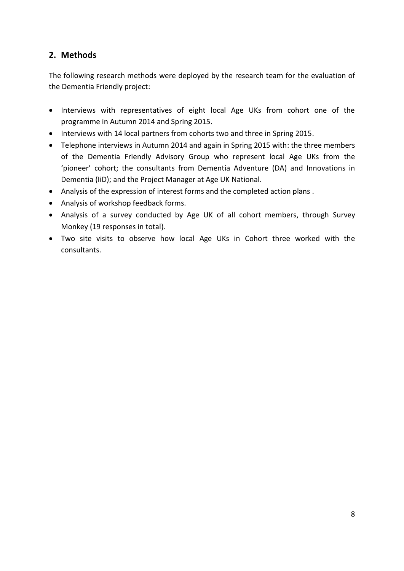## <span id="page-7-0"></span>**2. Methods**

The following research methods were deployed by the research team for the evaluation of the Dementia Friendly project:

- Interviews with representatives of eight local Age UKs from cohort one of the programme in Autumn 2014 and Spring 2015.
- Interviews with 14 local partners from cohorts two and three in Spring 2015.
- Telephone interviews in Autumn 2014 and again in Spring 2015 with: the three members of the Dementia Friendly Advisory Group who represent local Age UKs from the 'pioneer' cohort; the consultants from Dementia Adventure (DA) and Innovations in Dementia (IiD); and the Project Manager at Age UK National.
- Analysis of the expression of interest forms and the completed action plans .
- Analysis of workshop feedback forms.
- Analysis of a survey conducted by Age UK of all cohort members, through Survey Monkey (19 responses in total).
- Two site visits to observe how local Age UKs in Cohort three worked with the consultants.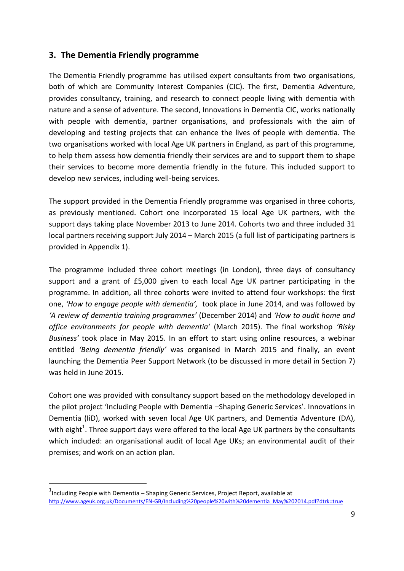## <span id="page-8-0"></span>**3. The Dementia Friendly programme**

The Dementia Friendly programme has utilised expert consultants from two organisations, both of which are Community Interest Companies (CIC). The first, Dementia Adventure, provides consultancy, training, and research to connect people living with dementia with nature and a sense of adventure. The second, Innovations in Dementia CIC, works nationally with people with dementia, partner organisations, and professionals with the aim of developing and testing projects that can enhance the lives of people with dementia. The two organisations worked with local Age UK partners in England, as part of this programme, to help them assess how dementia friendly their services are and to support them to shape their services to become more dementia friendly in the future. This included support to develop new services, including well-being services.

The support provided in the Dementia Friendly programme was organised in three cohorts, as previously mentioned. Cohort one incorporated 15 local Age UK partners, with the support days taking place November 2013 to June 2014. Cohorts two and three included 31 local partners receiving support July 2014 – March 2015 (a full list of participating partners is provided in Appendix 1).

The programme included three cohort meetings (in London), three days of consultancy support and a grant of £5,000 given to each local Age UK partner participating in the programme. In addition, all three cohorts were invited to attend four workshops: the first one, *'How to engage people with dementia',* took place in June 2014, and was followed by *'A review of dementia training programmes'* (December 2014) and *'How to audit home and office environments for people with dementia'* (March 2015). The final workshop *'Risky Business'* took place in May 2015. In an effort to start using online resources, a webinar entitled *'Being dementia friendly'* was organised in March 2015 and finally, an event launching the Dementia Peer Support Network (to be discussed in more detail in Section 7) was held in June 2015.

Cohort one was provided with consultancy support based on the methodology developed in the pilot project 'Including People with Dementia –Shaping Generic Services'. Innovations in Dementia (IiD), worked with seven local Age UK partners, and Dementia Adventure (DA), with eight<sup>1</sup>. Three support days were offered to the local Age UK partners by the consultants which included: an organisational audit of local Age UKs; an environmental audit of their premises; and work on an action plan.

-

<sup>&</sup>lt;sup>1</sup>Including People with Dementia – Shaping Generic Services, Project Report, available at [http://www.ageuk.org.uk/Documents/EN-GB/Including%20people%20with%20dementia\\_May%202014.pdf?dtrk=true](http://www.ageuk.org.uk/Documents/EN-GB/Including%20people%20with%20dementia_May%202014.pdf?dtrk=true)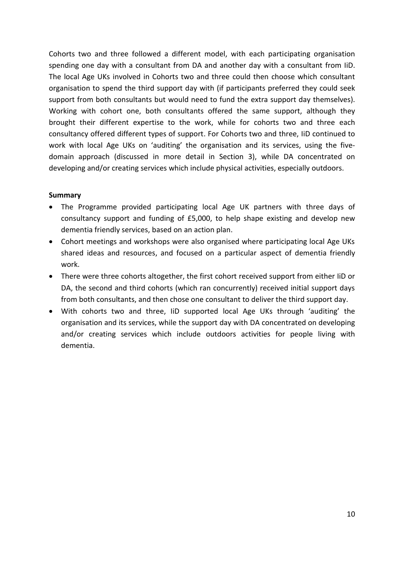Cohorts two and three followed a different model, with each participating organisation spending one day with a consultant from DA and another day with a consultant from IiD. The local Age UKs involved in Cohorts two and three could then choose which consultant organisation to spend the third support day with (if participants preferred they could seek support from both consultants but would need to fund the extra support day themselves). Working with cohort one, both consultants offered the same support, although they brought their different expertise to the work, while for cohorts two and three each consultancy offered different types of support. For Cohorts two and three, IiD continued to work with local Age UKs on 'auditing' the organisation and its services, using the fivedomain approach (discussed in more detail in Section 3), while DA concentrated on developing and/or creating services which include physical activities, especially outdoors.

#### **Summary**

- The Programme provided participating local Age UK partners with three days of consultancy support and funding of £5,000, to help shape existing and develop new dementia friendly services, based on an action plan.
- Cohort meetings and workshops were also organised where participating local Age UKs shared ideas and resources, and focused on a particular aspect of dementia friendly work.
- There were three cohorts altogether, the first cohort received support from either IiD or DA, the second and third cohorts (which ran concurrently) received initial support days from both consultants, and then chose one consultant to deliver the third support day.
- With cohorts two and three, IiD supported local Age UKs through 'auditing' the organisation and its services, while the support day with DA concentrated on developing and/or creating services which include outdoors activities for people living with dementia.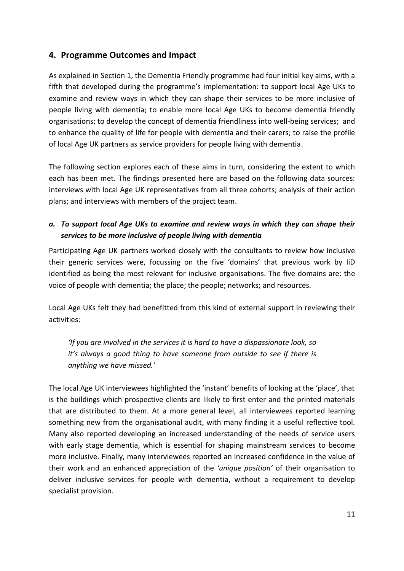## <span id="page-10-0"></span>**4. Programme Outcomes and Impact**

As explained in Section 1, the Dementia Friendly programme had four initial key aims, with a fifth that developed during the programme's implementation: to support local Age UKs to examine and review ways in which they can shape their services to be more inclusive of people living with dementia; to enable more local Age UKs to become dementia friendly organisations; to develop the concept of dementia friendliness into well-being services; and to enhance the quality of life for people with dementia and their carers; to raise the profile of local Age UK partners as service providers for people living with dementia.

The following section explores each of these aims in turn, considering the extent to which each has been met. The findings presented here are based on the following data sources: interviews with local Age UK representatives from all three cohorts; analysis of their action plans; and interviews with members of the project team.

## *a. To support local Age UKs to examine and review ways in which they can shape their services to be more inclusive of people living with dementia*

Participating Age UK partners worked closely with the consultants to review how inclusive their generic services were, focussing on the five 'domains' that previous work by IiD identified as being the most relevant for inclusive organisations. The five domains are: the voice of people with dementia; the place; the people; networks; and resources.

Local Age UKs felt they had benefitted from this kind of external support in reviewing their activities:

*'If you are involved in the services it is hard to have a dispassionate look, so it's always a good thing to have someone from outside to see if there is anything we have missed.'*

The local Age UK interviewees highlighted the 'instant' benefits of looking at the 'place', that is the buildings which prospective clients are likely to first enter and the printed materials that are distributed to them. At a more general level, all interviewees reported learning something new from the organisational audit, with many finding it a useful reflective tool. Many also reported developing an increased understanding of the needs of service users with early stage dementia, which is essential for shaping mainstream services to become more inclusive. Finally, many interviewees reported an increased confidence in the value of their work and an enhanced appreciation of the *'unique position'* of their organisation to deliver inclusive services for people with dementia, without a requirement to develop specialist provision.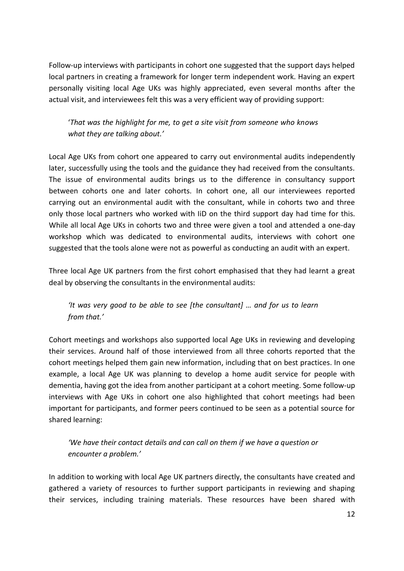Follow-up interviews with participants in cohort one suggested that the support days helped local partners in creating a framework for longer term independent work. Having an expert personally visiting local Age UKs was highly appreciated, even several months after the actual visit, and interviewees felt this was a very efficient way of providing support:

'*That was the highlight for me, to get a site visit from someone who knows what they are talking about.'*

Local Age UKs from cohort one appeared to carry out environmental audits independently later, successfully using the tools and the guidance they had received from the consultants. The issue of environmental audits brings us to the difference in consultancy support between cohorts one and later cohorts. In cohort one, all our interviewees reported carrying out an environmental audit with the consultant, while in cohorts two and three only those local partners who worked with IiD on the third support day had time for this. While all local Age UKs in cohorts two and three were given a tool and attended a one-day workshop which was dedicated to environmental audits, interviews with cohort one suggested that the tools alone were not as powerful as conducting an audit with an expert.

Three local Age UK partners from the first cohort emphasised that they had learnt a great deal by observing the consultants in the environmental audits:

*'It was very good to be able to see [the consultant] … and for us to learn from that.'*

Cohort meetings and workshops also supported local Age UKs in reviewing and developing their services. Around half of those interviewed from all three cohorts reported that the cohort meetings helped them gain new information, including that on best practices. In one example, a local Age UK was planning to develop a home audit service for people with dementia, having got the idea from another participant at a cohort meeting. Some follow-up interviews with Age UKs in cohort one also highlighted that cohort meetings had been important for participants, and former peers continued to be seen as a potential source for shared learning:

*'We have their contact details and can call on them if we have a question or encounter a problem.'*

In addition to working with local Age UK partners directly, the consultants have created and gathered a variety of resources to further support participants in reviewing and shaping their services, including training materials. These resources have been shared with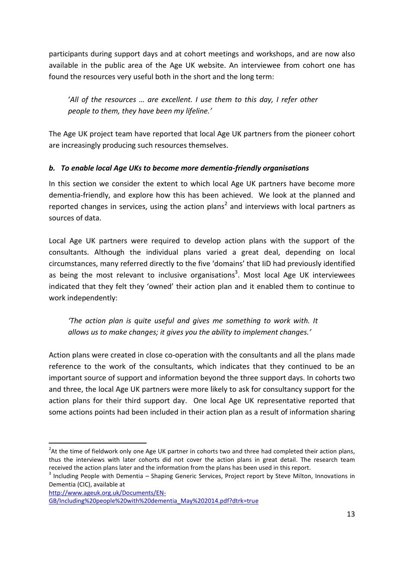participants during support days and at cohort meetings and workshops, and are now also available in the public area of the Age UK website. An interviewee from cohort one has found the resources very useful both in the short and the long term:

'*All of the resources … are excellent. I use them to this day, I refer other people to them, they have been my lifeline.'*

The Age UK project team have reported that local Age UK partners from the pioneer cohort are increasingly producing such resources themselves.

## *b. To enable local Age UKs to become more dementia-friendly organisations*

In this section we consider the extent to which local Age UK partners have become more dementia-friendly, and explore how this has been achieved. We look at the planned and reported changes in services, using the action plans<sup>2</sup> and interviews with local partners as sources of data.

Local Age UK partners were required to develop action plans with the support of the consultants. Although the individual plans varied a great deal, depending on local circumstances, many referred directly to the five 'domains' that IiD had previously identified as being the most relevant to inclusive organisations<sup>3</sup>. Most local Age UK interviewees indicated that they felt they 'owned' their action plan and it enabled them to continue to work independently:

*'The action plan is quite useful and gives me something to work with. It allows us to make changes; it gives you the ability to implement changes.'*

Action plans were created in close co-operation with the consultants and all the plans made reference to the work of the consultants, which indicates that they continued to be an important source of support and information beyond the three support days. In cohorts two and three, the local Age UK partners were more likely to ask for consultancy support for the action plans for their third support day. One local Age UK representative reported that some actions points had been included in their action plan as a result of information sharing

[http://www.ageuk.org.uk/Documents/EN-](http://www.ageuk.org.uk/Documents/EN-GB/Including%20people%20with%20dementia_May%202014.pdf?dtrk=true)

-

 $^{2}$ At the time of fieldwork only one Age UK partner in cohorts two and three had completed their action plans, thus the interviews with later cohorts did not cover the action plans in great detail. The research team received the action plans later and the information from the plans has been used in this report.

<sup>&</sup>lt;sup>3</sup> Including People with Dementia – Shaping Generic Services, Project report by Steve Milton, Innovations in Dementia (CIC), available at

[GB/Including%20people%20with%20dementia\\_May%202014.pdf?dtrk=true](http://www.ageuk.org.uk/Documents/EN-GB/Including%20people%20with%20dementia_May%202014.pdf?dtrk=true)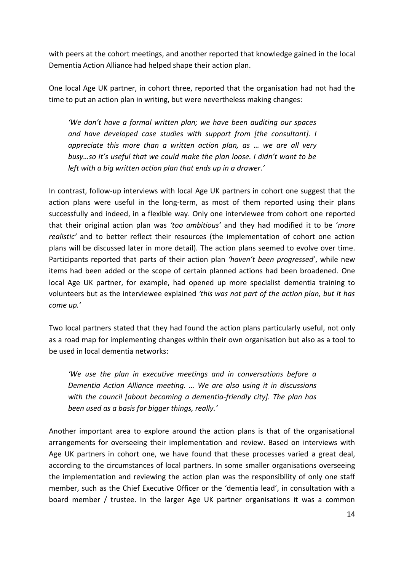with peers at the cohort meetings, and another reported that knowledge gained in the local Dementia Action Alliance had helped shape their action plan.

One local Age UK partner, in cohort three, reported that the organisation had not had the time to put an action plan in writing, but were nevertheless making changes:

*'We don't have a formal written plan; we have been auditing our spaces and have developed case studies with support from [the consultant]. I appreciate this more than a written action plan, as … we are all very busy…so it's useful that we could make the plan loose. I didn't want to be left with a big written action plan that ends up in a drawer.'*

In contrast, follow-up interviews with local Age UK partners in cohort one suggest that the action plans were useful in the long-term, as most of them reported using their plans successfully and indeed, in a flexible way. Only one interviewee from cohort one reported that their original action plan was *'too ambitious'* and they had modified it to be '*more realistic'* and to better reflect their resources (the implementation of cohort one action plans will be discussed later in more detail). The action plans seemed to evolve over time. Participants reported that parts of their action plan *'haven't been progressed*', while new items had been added or the scope of certain planned actions had been broadened. One local Age UK partner, for example, had opened up more specialist dementia training to volunteers but as the interviewee explained *'this was not part of the action plan, but it has come up.'*

Two local partners stated that they had found the action plans particularly useful, not only as a road map for implementing changes within their own organisation but also as a tool to be used in local dementia networks:

*'We use the plan in executive meetings and in conversations before a Dementia Action Alliance meeting. … We are also using it in discussions with the council [about becoming a dementia-friendly city]. The plan has been used as a basis for bigger things, really.'*

Another important area to explore around the action plans is that of the organisational arrangements for overseeing their implementation and review. Based on interviews with Age UK partners in cohort one, we have found that these processes varied a great deal, according to the circumstances of local partners. In some smaller organisations overseeing the implementation and reviewing the action plan was the responsibility of only one staff member, such as the Chief Executive Officer or the 'dementia lead', in consultation with a board member / trustee. In the larger Age UK partner organisations it was a common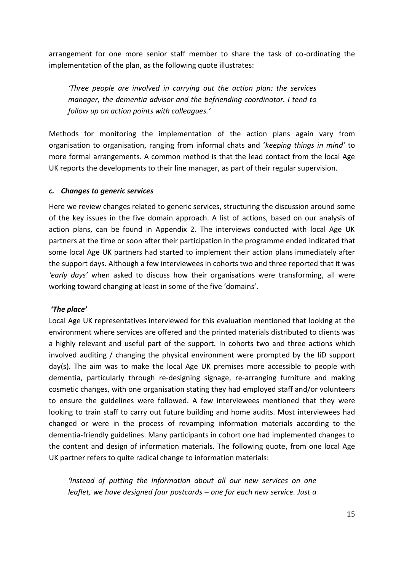arrangement for one more senior staff member to share the task of co-ordinating the implementation of the plan, as the following quote illustrates:

*'Three people are involved in carrying out the action plan: the services manager, the dementia advisor and the befriending coordinator. I tend to follow up on action points with colleagues.'*

Methods for monitoring the implementation of the action plans again vary from organisation to organisation, ranging from informal chats and '*keeping things in mind'* to more formal arrangements. A common method is that the lead contact from the local Age UK reports the developments to their line manager, as part of their regular supervision.

#### *c. Changes to generic services*

Here we review changes related to generic services, structuring the discussion around some of the key issues in the five domain approach. A list of actions, based on our analysis of action plans, can be found in Appendix 2. The interviews conducted with local Age UK partners at the time or soon after their participation in the programme ended indicated that some local Age UK partners had started to implement their action plans immediately after the support days. Although a few interviewees in cohorts two and three reported that it was *'early days'* when asked to discuss how their organisations were transforming, all were working toward changing at least in some of the five 'domains'.

#### *'The place'*

Local Age UK representatives interviewed for this evaluation mentioned that looking at the environment where services are offered and the printed materials distributed to clients was a highly relevant and useful part of the support. In cohorts two and three actions which involved auditing  $\ell$  changing the physical environment were prompted by the IiD support day(s). The aim was to make the local Age UK premises more accessible to people with dementia, particularly through re-designing signage, re-arranging furniture and making cosmetic changes, with one organisation stating they had employed staff and/or volunteers to ensure the guidelines were followed. A few interviewees mentioned that they were looking to train staff to carry out future building and home audits. Most interviewees had changed or were in the process of revamping information materials according to the dementia-friendly guidelines. Many participants in cohort one had implemented changes to the content and design of information materials. The following quote, from one local Age UK partner refers to quite radical change to information materials:

*'Instead of putting the information about all our new services on one leaflet, we have designed four postcards – one for each new service. Just a*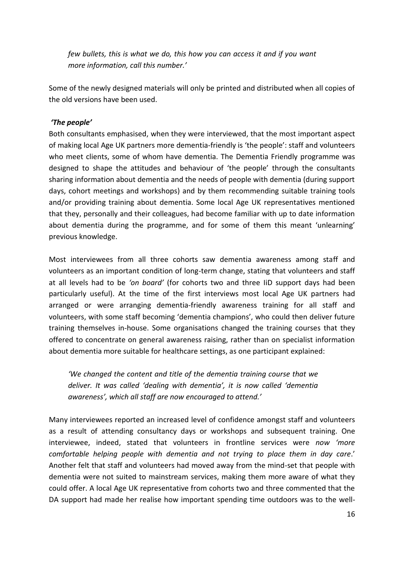*few bullets, this is what we do, this how you can access it and if you want more information, call this number.'*

Some of the newly designed materials will only be printed and distributed when all copies of the old versions have been used.

#### *'The people'*

Both consultants emphasised, when they were interviewed, that the most important aspect of making local Age UK partners more dementia-friendly is 'the people': staff and volunteers who meet clients, some of whom have dementia. The Dementia Friendly programme was designed to shape the attitudes and behaviour of 'the people' through the consultants sharing information about dementia and the needs of people with dementia (during support days, cohort meetings and workshops) and by them recommending suitable training tools and/or providing training about dementia. Some local Age UK representatives mentioned that they, personally and their colleagues, had become familiar with up to date information about dementia during the programme, and for some of them this meant 'unlearning' previous knowledge.

Most interviewees from all three cohorts saw dementia awareness among staff and volunteers as an important condition of long-term change, stating that volunteers and staff at all levels had to be *'on board'* (for cohorts two and three IiD support days had been particularly useful). At the time of the first interviews most local Age UK partners had arranged or were arranging dementia-friendly awareness training for all staff and volunteers, with some staff becoming 'dementia champions', who could then deliver future training themselves in-house. Some organisations changed the training courses that they offered to concentrate on general awareness raising, rather than on specialist information about dementia more suitable for healthcare settings, as one participant explained:

*'We changed the content and title of the dementia training course that we deliver. It was called 'dealing with dementia', it is now called 'dementia awareness', which all staff are now encouraged to attend.'*

Many interviewees reported an increased level of confidence amongst staff and volunteers as a result of attending consultancy days or workshops and subsequent training. One interviewee, indeed, stated that volunteers in frontline services were *now 'more comfortable helping people with dementia and not trying to place them in day care*.' Another felt that staff and volunteers had moved away from the mind-set that people with dementia were not suited to mainstream services, making them more aware of what they could offer. A local Age UK representative from cohorts two and three commented that the DA support had made her realise how important spending time outdoors was to the well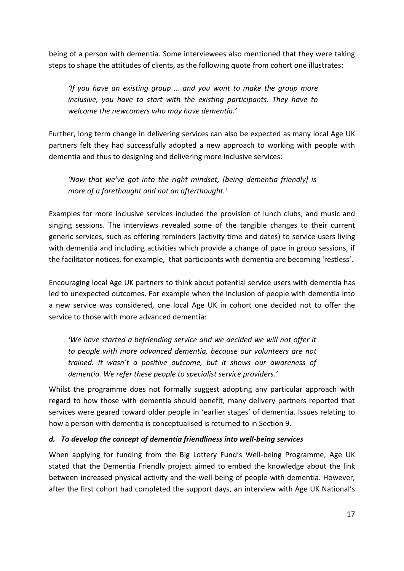being of a person with dementia. Some interviewees also mentioned that they were taking steps to shape the attitudes of clients, as the following quote from cohort one illustrates:

*'If you have an existing group … and you want to make the group more inclusive, you have to start with the existing participants. They have to welcome the newcomers who may have dementia.'*

Further, long term change in delivering services can also be expected as many local Age UK partners felt they had successfully adopted a new approach to working with people with dementia and thus to designing and delivering more inclusive services:

*'Now that we've got into the right mindset, [being dementia friendly] is more of a forethought and not an afterthought.'*

Examples for more inclusive services included the provision of lunch clubs, and music and singing sessions. The interviews revealed some of the tangible changes to their current generic services, such as offering reminders (activity time and dates) to service users living with dementia and including activities which provide a change of pace in group sessions, if the facilitator notices, for example, that participants with dementia are becoming 'restless'.

Encouraging local Age UK partners to think about potential service users with dementia has led to unexpected outcomes. For example when the inclusion of people with dementia into a new service was considered, one local Age UK in cohort one decided not to offer the service to those with more advanced dementia:

*'We have started a befriending service and we decided we will not offer it to people with more advanced dementia, because our volunteers are not trained. It wasn't a positive outcome, but it shows our awareness of dementia. We refer these people to specialist service providers.'*

Whilst the programme does not formally suggest adopting any particular approach with regard to how those with dementia should benefit, many delivery partners reported that services were geared toward older people in 'earlier stages' of dementia. Issues relating to how a person with dementia is conceptualised is returned to in Section 9.

#### *d. To develop the concept of dementia friendliness into well-being services*

When applying for funding from the Big Lottery Fund's Well-being Programme, Age UK stated that the Dementia Friendly project aimed to embed the knowledge about the link between increased physical activity and the well-being of people with dementia. However, after the first cohort had completed the support days, an interview with Age UK National's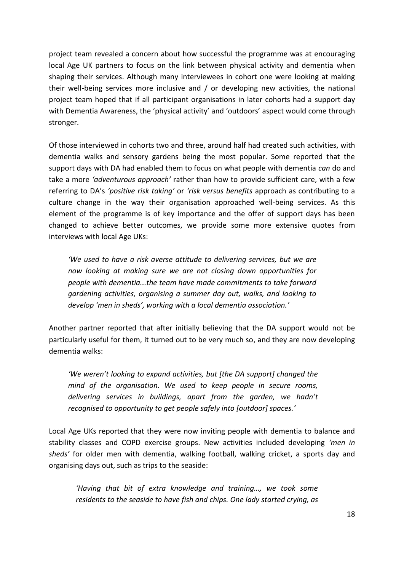project team revealed a concern about how successful the programme was at encouraging local Age UK partners to focus on the link between physical activity and dementia when shaping their services. Although many interviewees in cohort one were looking at making their well-being services more inclusive and / or developing new activities, the national project team hoped that if all participant organisations in later cohorts had a support day with Dementia Awareness, the 'physical activity' and 'outdoors' aspect would come through stronger.

Of those interviewed in cohorts two and three, around half had created such activities, with dementia walks and sensory gardens being the most popular. Some reported that the support days with DA had enabled them to focus on what people with dementia *can* do and take a more *'adventurous approach'* rather than how to provide sufficient care, with a few referring to DA's *'positive risk taking'* or *'risk versus benefits* approach as contributing to a culture change in the way their organisation approached well-being services. As this element of the programme is of key importance and the offer of support days has been changed to achieve better outcomes, we provide some more extensive quotes from interviews with local Age UKs:

*'We used to have a risk averse attitude to delivering services, but we are now looking at making sure we are not closing down opportunities for people with dementia...the team have made commitments to take forward gardening activities, organising a summer day out, walks, and looking to develop 'men in sheds', working with a local dementia association.'*

Another partner reported that after initially believing that the DA support would not be particularly useful for them, it turned out to be very much so, and they are now developing dementia walks:

*'We weren't looking to expand activities, but [the DA support] changed the mind of the organisation. We used to keep people in secure rooms, delivering services in buildings, apart from the garden, we hadn't recognised to opportunity to get people safely into [outdoor] spaces.'*

Local Age UKs reported that they were now inviting people with dementia to balance and stability classes and COPD exercise groups. New activities included developing *'men in sheds'* for older men with dementia, walking football, walking cricket, a sports day and organising days out, such as trips to the seaside:

*'Having that bit of extra knowledge and training…, we took some residents to the seaside to have fish and chips. One lady started crying, as*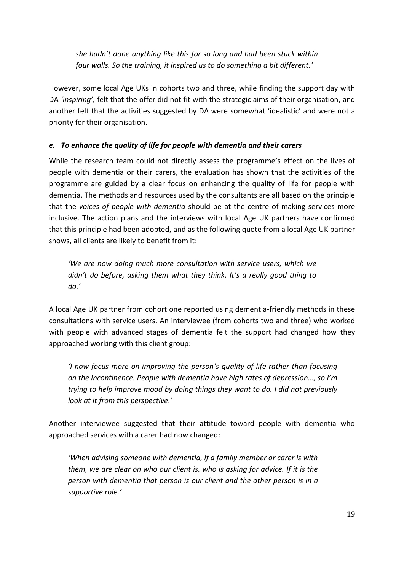*she hadn't done anything like this for so long and had been stuck within four walls. So the training, it inspired us to do something a bit different.'*

However, some local Age UKs in cohorts two and three, while finding the support day with DA *'inspiring',* felt that the offer did not fit with the strategic aims of their organisation, and another felt that the activities suggested by DA were somewhat 'idealistic' and were not a priority for their organisation.

### *e. To enhance the quality of life for people with dementia and their carers*

While the research team could not directly assess the programme's effect on the lives of people with dementia or their carers, the evaluation has shown that the activities of the programme are guided by a clear focus on enhancing the quality of life for people with dementia. The methods and resources used by the consultants are all based on the principle that the *voices of people with dementia* should be at the centre of making services more inclusive. The action plans and the interviews with local Age UK partners have confirmed that this principle had been adopted, and as the following quote from a local Age UK partner shows, all clients are likely to benefit from it:

*'We are now doing much more consultation with service users, which we didn't do before, asking them what they think. It's a really good thing to do.'*

A local Age UK partner from cohort one reported using dementia-friendly methods in these consultations with service users. An interviewee (from cohorts two and three) who worked with people with advanced stages of dementia felt the support had changed how they approached working with this client group:

*'I now focus more on improving the person's quality of life rather than focusing on the incontinence. People with dementia have high rates of depression…, so I'm trying to help improve mood by doing things they want to do. I did not previously look at it from this perspective.'*

Another interviewee suggested that their attitude toward people with dementia who approached services with a carer had now changed:

*'When advising someone with dementia, if a family member or carer is with them, we are clear on who our client is, who is asking for advice. If it is the person with dementia that person is our client and the other person is in a supportive role.'*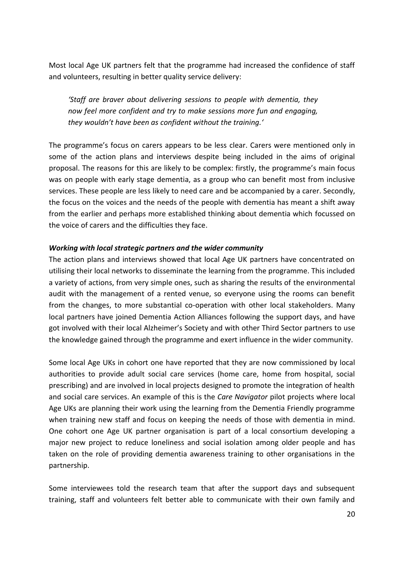Most local Age UK partners felt that the programme had increased the confidence of staff and volunteers, resulting in better quality service delivery:

*'Staff are braver about delivering sessions to people with dementia, they now feel more confident and try to make sessions more fun and engaging, they wouldn't have been as confident without the training.'*

The programme's focus on carers appears to be less clear. Carers were mentioned only in some of the action plans and interviews despite being included in the aims of original proposal. The reasons for this are likely to be complex: firstly, the programme's main focus was on people with early stage dementia, as a group who can benefit most from inclusive services. These people are less likely to need care and be accompanied by a carer. Secondly, the focus on the voices and the needs of the people with dementia has meant a shift away from the earlier and perhaps more established thinking about dementia which focussed on the voice of carers and the difficulties they face.

#### *Working with local strategic partners and the wider community*

The action plans and interviews showed that local Age UK partners have concentrated on utilising their local networks to disseminate the learning from the programme. This included a variety of actions, from very simple ones, such as sharing the results of the environmental audit with the management of a rented venue, so everyone using the rooms can benefit from the changes, to more substantial co-operation with other local stakeholders. Many local partners have joined Dementia Action Alliances following the support days, and have got involved with their local Alzheimer's Society and with other Third Sector partners to use the knowledge gained through the programme and exert influence in the wider community.

Some local Age UKs in cohort one have reported that they are now commissioned by local authorities to provide adult social care services (home care, home from hospital, social prescribing) and are involved in local projects designed to promote the integration of health and social care services. An example of this is the *Care Navigator* pilot projects where local Age UKs are planning their work using the learning from the Dementia Friendly programme when training new staff and focus on keeping the needs of those with dementia in mind. One cohort one Age UK partner organisation is part of a local consortium developing a major new project to reduce loneliness and social isolation among older people and has taken on the role of providing dementia awareness training to other organisations in the partnership.

Some interviewees told the research team that after the support days and subsequent training, staff and volunteers felt better able to communicate with their own family and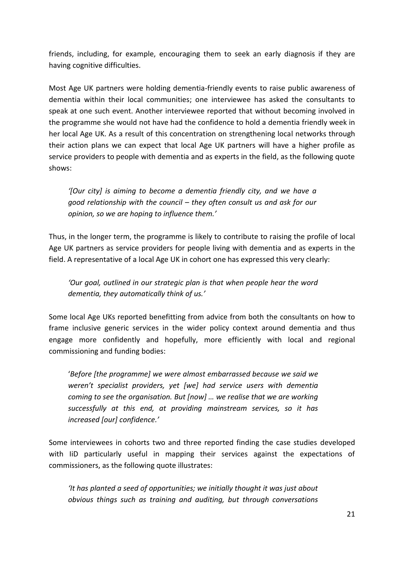friends, including, for example, encouraging them to seek an early diagnosis if they are having cognitive difficulties.

Most Age UK partners were holding dementia-friendly events to raise public awareness of dementia within their local communities; one interviewee has asked the consultants to speak at one such event. Another interviewee reported that without becoming involved in the programme she would not have had the confidence to hold a dementia friendly week in her local Age UK. As a result of this concentration on strengthening local networks through their action plans we can expect that local Age UK partners will have a higher profile as service providers to people with dementia and as experts in the field, as the following quote shows:

*'[Our city] is aiming to become a dementia friendly city, and we have a good relationship with the council – they often consult us and ask for our opinion, so we are hoping to influence them.'*

Thus, in the longer term, the programme is likely to contribute to raising the profile of local Age UK partners as service providers for people living with dementia and as experts in the field. A representative of a local Age UK in cohort one has expressed this very clearly:

*'Our goal, outlined in our strategic plan is that when people hear the word dementia, they automatically think of us.'*

Some local Age UKs reported benefitting from advice from both the consultants on how to frame inclusive generic services in the wider policy context around dementia and thus engage more confidently and hopefully, more efficiently with local and regional commissioning and funding bodies:

'*Before [the programme] we were almost embarrassed because we said we weren't specialist providers, yet [we] had service users with dementia coming to see the organisation. But [now] … we realise that we are working successfully at this end, at providing mainstream services, so it has increased [our] confidence.'*

Some interviewees in cohorts two and three reported finding the case studies developed with IiD particularly useful in mapping their services against the expectations of commissioners, as the following quote illustrates:

*'It has planted a seed of opportunities; we initially thought it was just about obvious things such as training and auditing, but through conversations*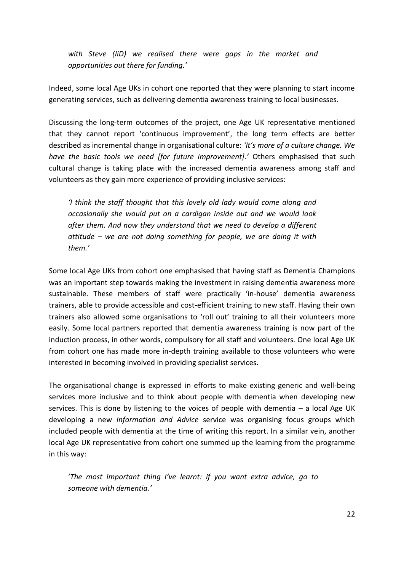*with Steve (IiD) we realised there were gaps in the market and opportunities out there for funding.'*

Indeed, some local Age UKs in cohort one reported that they were planning to start income generating services, such as delivering dementia awareness training to local businesses.

Discussing the long-term outcomes of the project, one Age UK representative mentioned that they cannot report 'continuous improvement', the long term effects are better described as incremental change in organisational culture: *'It's more of a culture change. We have the basic tools we need [for future improvement].'* Others emphasised that such cultural change is taking place with the increased dementia awareness among staff and volunteers as they gain more experience of providing inclusive services:

*'I think the staff thought that this lovely old lady would come along and occasionally she would put on a cardigan inside out and we would look after them. And now they understand that we need to develop a different attitude – we are not doing something for people, we are doing it with them.'*

Some local Age UKs from cohort one emphasised that having staff as Dementia Champions was an important step towards making the investment in raising dementia awareness more sustainable. These members of staff were practically 'in-house' dementia awareness trainers, able to provide accessible and cost-efficient training to new staff. Having their own trainers also allowed some organisations to 'roll out' training to all their volunteers more easily. Some local partners reported that dementia awareness training is now part of the induction process, in other words, compulsory for all staff and volunteers. One local Age UK from cohort one has made more in-depth training available to those volunteers who were interested in becoming involved in providing specialist services.

The organisational change is expressed in efforts to make existing generic and well-being services more inclusive and to think about people with dementia when developing new services. This is done by listening to the voices of people with dementia – a local Age UK developing a new *Information and Advice* service was organising focus groups which included people with dementia at the time of writing this report. In a similar vein, another local Age UK representative from cohort one summed up the learning from the programme in this way:

'*The most important thing I've learnt: if you want extra advice, go to someone with dementia.'*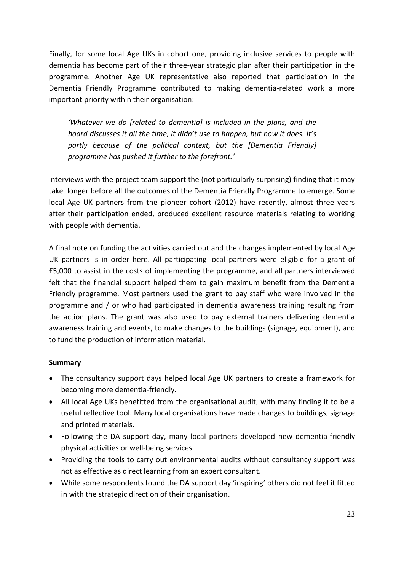Finally, for some local Age UKs in cohort one, providing inclusive services to people with dementia has become part of their three-year strategic plan after their participation in the programme. Another Age UK representative also reported that participation in the Dementia Friendly Programme contributed to making dementia-related work a more important priority within their organisation:

*'Whatever we do [related to dementia] is included in the plans, and the board discusses it all the time, it didn't use to happen, but now it does. It's partly because of the political context, but the [Dementia Friendly] programme has pushed it further to the forefront.'*

Interviews with the project team support the (not particularly surprising) finding that it may take longer before all the outcomes of the Dementia Friendly Programme to emerge. Some local Age UK partners from the pioneer cohort (2012) have recently, almost three years after their participation ended, produced excellent resource materials relating to working with people with dementia.

A final note on funding the activities carried out and the changes implemented by local Age UK partners is in order here. All participating local partners were eligible for a grant of £5,000 to assist in the costs of implementing the programme, and all partners interviewed felt that the financial support helped them to gain maximum benefit from the Dementia Friendly programme. Most partners used the grant to pay staff who were involved in the programme and / or who had participated in dementia awareness training resulting from the action plans. The grant was also used to pay external trainers delivering dementia awareness training and events, to make changes to the buildings (signage, equipment), and to fund the production of information material.

#### **Summary**

- The consultancy support days helped local Age UK partners to create a framework for becoming more dementia-friendly.
- All local Age UKs benefitted from the organisational audit, with many finding it to be a useful reflective tool. Many local organisations have made changes to buildings, signage and printed materials.
- Following the DA support day, many local partners developed new dementia-friendly physical activities or well-being services.
- Providing the tools to carry out environmental audits without consultancy support was not as effective as direct learning from an expert consultant.
- While some respondents found the DA support day 'inspiring' others did not feel it fitted in with the strategic direction of their organisation.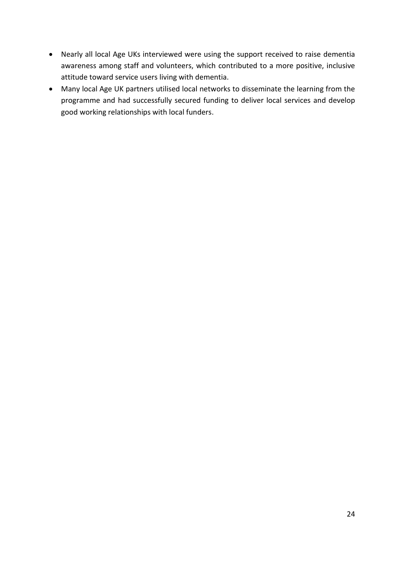- Nearly all local Age UKs interviewed were using the support received to raise dementia awareness among staff and volunteers, which contributed to a more positive, inclusive attitude toward service users living with dementia.
- Many local Age UK partners utilised local networks to disseminate the learning from the programme and had successfully secured funding to deliver local services and develop good working relationships with local funders.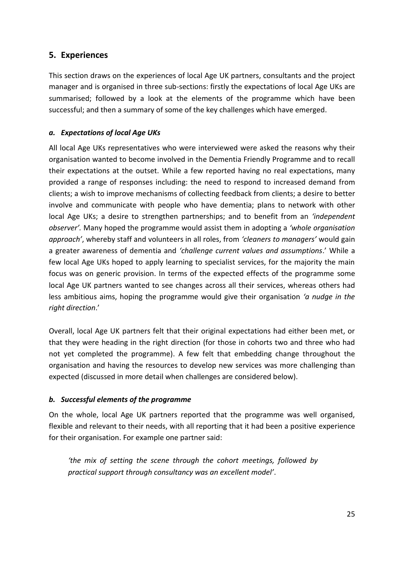## <span id="page-24-0"></span>**5. Experiences**

This section draws on the experiences of local Age UK partners, consultants and the project manager and is organised in three sub-sections: firstly the expectations of local Age UKs are summarised; followed by a look at the elements of the programme which have been successful; and then a summary of some of the key challenges which have emerged.

### *a. Expectations of local Age UKs*

All local Age UKs representatives who were interviewed were asked the reasons why their organisation wanted to become involved in the Dementia Friendly Programme and to recall their expectations at the outset. While a few reported having no real expectations, many provided a range of responses including: the need to respond to increased demand from clients; a wish to improve mechanisms of collecting feedback from clients; a desire to better involve and communicate with people who have dementia; plans to network with other local Age UKs; a desire to strengthen partnerships; and to benefit from an *'independent observer'.* Many hoped the programme would assist them in adopting a *'whole organisation approach'*, whereby staff and volunteers in all roles, from *'cleaners to managers'* would gain a greater awareness of dementia and *'challenge current values and assumptions*.' While a few local Age UKs hoped to apply learning to specialist services, for the majority the main focus was on generic provision. In terms of the expected effects of the programme some local Age UK partners wanted to see changes across all their services, whereas others had less ambitious aims, hoping the programme would give their organisation *'a nudge in the right direction*.'

Overall, local Age UK partners felt that their original expectations had either been met, or that they were heading in the right direction (for those in cohorts two and three who had not yet completed the programme). A few felt that embedding change throughout the organisation and having the resources to develop new services was more challenging than expected (discussed in more detail when challenges are considered below).

#### *b. Successful elements of the programme*

On the whole, local Age UK partners reported that the programme was well organised, flexible and relevant to their needs, with all reporting that it had been a positive experience for their organisation. For example one partner said:

*'the mix of setting the scene through the cohort meetings, followed by practical support through consultancy was an excellent model'*.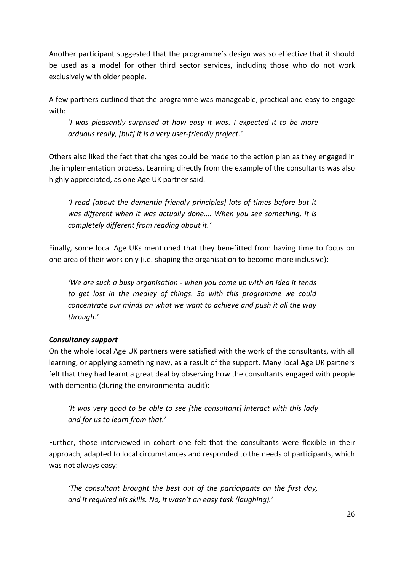Another participant suggested that the programme's design was so effective that it should be used as a model for other third sector services, including those who do not work exclusively with older people.

A few partners outlined that the programme was manageable, practical and easy to engage with:

'*I was pleasantly surprised at how easy it was. I expected it to be more arduous really, [but] it is a very user-friendly project.'* 

Others also liked the fact that changes could be made to the action plan as they engaged in the implementation process. Learning directly from the example of the consultants was also highly appreciated, as one Age UK partner said:

*'I read [about the dementia-friendly principles] lots of times before but it was different when it was actually done.… When you see something, it is completely different from reading about it.'*

Finally, some local Age UKs mentioned that they benefitted from having time to focus on one area of their work only (i.e. shaping the organisation to become more inclusive):

*'We are such a busy organisation - when you come up with an idea it tends to get lost in the medley of things. So with this programme we could concentrate our minds on what we want to achieve and push it all the way through.'*

## *Consultancy support*

On the whole local Age UK partners were satisfied with the work of the consultants, with all learning, or applying something new, as a result of the support. Many local Age UK partners felt that they had learnt a great deal by observing how the consultants engaged with people with dementia (during the environmental audit):

*'It was very good to be able to see [the consultant] interact with this lady and for us to learn from that.'*

Further, those interviewed in cohort one felt that the consultants were flexible in their approach, adapted to local circumstances and responded to the needs of participants, which was not always easy:

*'The consultant brought the best out of the participants on the first day, and it required his skills. No, it wasn't an easy task (laughing).'*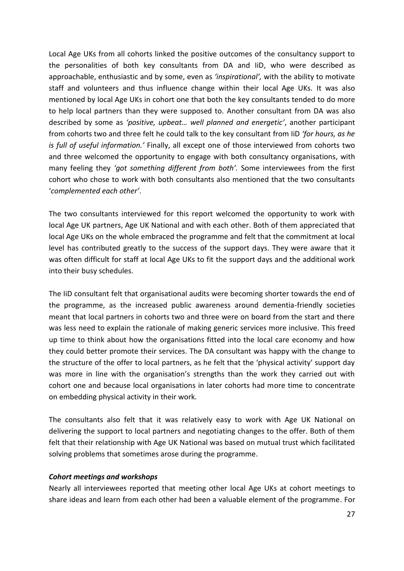Local Age UKs from all cohorts linked the positive outcomes of the consultancy support to the personalities of both key consultants from DA and IiD, who were described as approachable, enthusiastic and by some, even as *'inspirational',* with the ability to motivate staff and volunteers and thus influence change within their local Age UKs. It was also mentioned by local Age UKs in cohort one that both the key consultants tended to do more to help local partners than they were supposed to. Another consultant from DA was also described by some as *'positive, upbeat… well planned and energetic'*, another participant from cohorts two and three felt he could talk to the key consultant from IiD *'for hours, as he is full of useful information.'* Finally, all except one of those interviewed from cohorts two and three welcomed the opportunity to engage with both consultancy organisations, with many feeling they *'got something different from both'.* Some interviewees from the first cohort who chose to work with both consultants also mentioned that the two consultants '*complemented each other'*.

The two consultants interviewed for this report welcomed the opportunity to work with local Age UK partners, Age UK National and with each other. Both of them appreciated that local Age UKs on the whole embraced the programme and felt that the commitment at local level has contributed greatly to the success of the support days. They were aware that it was often difficult for staff at local Age UKs to fit the support days and the additional work into their busy schedules.

The IiD consultant felt that organisational audits were becoming shorter towards the end of the programme, as the increased public awareness around dementia-friendly societies meant that local partners in cohorts two and three were on board from the start and there was less need to explain the rationale of making generic services more inclusive. This freed up time to think about how the organisations fitted into the local care economy and how they could better promote their services. The DA consultant was happy with the change to the structure of the offer to local partners, as he felt that the 'physical activity' support day was more in line with the organisation's strengths than the work they carried out with cohort one and because local organisations in later cohorts had more time to concentrate on embedding physical activity in their work.

The consultants also felt that it was relatively easy to work with Age UK National on delivering the support to local partners and negotiating changes to the offer. Both of them felt that their relationship with Age UK National was based on mutual trust which facilitated solving problems that sometimes arose during the programme.

#### *Cohort meetings and workshops*

Nearly all interviewees reported that meeting other local Age UKs at cohort meetings to share ideas and learn from each other had been a valuable element of the programme. For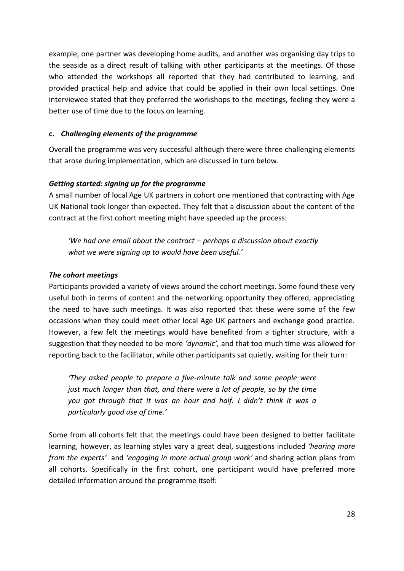example, one partner was developing home audits, and another was organising day trips to the seaside as a direct result of talking with other participants at the meetings. Of those who attended the workshops all reported that they had contributed to learning, and provided practical help and advice that could be applied in their own local settings. One interviewee stated that they preferred the workshops to the meetings, feeling they were a better use of time due to the focus on learning.

#### **c.** *Challenging elements of the programme*

Overall the programme was very successful although there were three challenging elements that arose during implementation, which are discussed in turn below.

#### *Getting started: signing up for the programme*

A small number of local Age UK partners in cohort one mentioned that contracting with Age UK National took longer than expected. They felt that a discussion about the content of the contract at the first cohort meeting might have speeded up the process:

*'We had one email about the contract – perhaps a discussion about exactly what we were signing up to would have been useful.'*

#### *The cohort meetings*

Participants provided a variety of views around the cohort meetings. Some found these very useful both in terms of content and the networking opportunity they offered, appreciating the need to have such meetings. It was also reported that these were some of the few occasions when they could meet other local Age UK partners and exchange good practice. However, a few felt the meetings would have benefited from a tighter structure, with a suggestion that they needed to be more *'dynamic',* and that too much time was allowed for reporting back to the facilitator, while other participants sat quietly, waiting for their turn:

*'They asked people to prepare a five-minute talk and some people were just much longer than that, and there were a lot of people, so by the time you got through that it was an hour and half. I didn't think it was a particularly good use of time.'*

Some from all cohorts felt that the meetings could have been designed to better facilitate learning, however, as learning styles vary a great deal, suggestions included *'hearing more from the experts'* and *'engaging in more actual group work'* and sharing action plans from all cohorts. Specifically in the first cohort, one participant would have preferred more detailed information around the programme itself: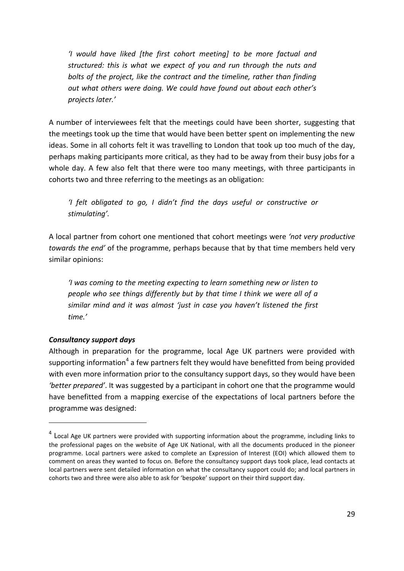*'I would have liked [the first cohort meeting] to be more factual and structured: this is what we expect of you and run through the nuts and bolts of the project, like the contract and the timeline, rather than finding out what others were doing. We could have found out about each other's projects later.'*

A number of interviewees felt that the meetings could have been shorter, suggesting that the meetings took up the time that would have been better spent on implementing the new ideas. Some in all cohorts felt it was travelling to London that took up too much of the day, perhaps making participants more critical, as they had to be away from their busy jobs for a whole day. A few also felt that there were too many meetings, with three participants in cohorts two and three referring to the meetings as an obligation:

*'I felt obligated to go, I didn't find the days useful or constructive or stimulating'.* 

A local partner from cohort one mentioned that cohort meetings were *'not very productive towards the end'* of the programme, perhaps because that by that time members held very similar opinions:

*'I was coming to the meeting expecting to learn something new or listen to people who see things differently but by that time I think we were all of a similar mind and it was almost 'just in case you haven't listened the first time.'*

## *Consultancy support days*

-

Although in preparation for the programme, local Age UK partners were provided with supporting information<sup>4</sup> a few partners felt they would have benefitted from being provided with even more information prior to the consultancy support days, so they would have been *'better prepared'*. It was suggested by a participant in cohort one that the programme would have benefitted from a mapping exercise of the expectations of local partners before the programme was designed:

<sup>&</sup>lt;sup>4</sup> Local Age UK partners were provided with supporting information about the programme, including links to the professional pages on the website of Age UK National, with all the documents produced in the pioneer programme. Local partners were asked to complete an Expression of Interest (EOI) which allowed them to comment on areas they wanted to focus on. Before the consultancy support days took place, lead contacts at local partners were sent detailed information on what the consultancy support could do; and local partners in cohorts two and three were also able to ask for 'bespoke' support on their third support day.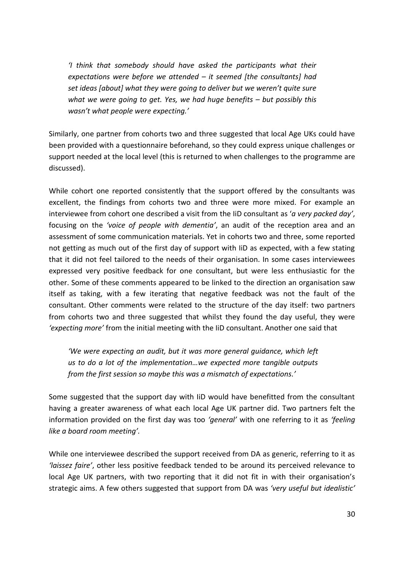*'I think that somebody should have asked the participants what their expectations were before we attended – it seemed [the consultants] had set ideas [about] what they were going to deliver but we weren't quite sure what we were going to get. Yes, we had huge benefits – but possibly this wasn't what people were expecting.'*

Similarly, one partner from cohorts two and three suggested that local Age UKs could have been provided with a questionnaire beforehand, so they could express unique challenges or support needed at the local level (this is returned to when challenges to the programme are discussed).

While cohort one reported consistently that the support offered by the consultants was excellent, the findings from cohorts two and three were more mixed. For example an interviewee from cohort one described a visit from the IiD consultant as '*a very packed day'*, focusing on the *'voice of people with dementia'*, an audit of the reception area and an assessment of some communication materials. Yet in cohorts two and three, some reported not getting as much out of the first day of support with IiD as expected, with a few stating that it did not feel tailored to the needs of their organisation. In some cases interviewees expressed very positive feedback for one consultant, but were less enthusiastic for the other. Some of these comments appeared to be linked to the direction an organisation saw itself as taking, with a few iterating that negative feedback was not the fault of the consultant. Other comments were related to the structure of the day itself: two partners from cohorts two and three suggested that whilst they found the day useful, they were *'expecting more'* from the initial meeting with the IiD consultant. Another one said that

*'We were expecting an audit, but it was more general guidance, which left us to do a lot of the implementation…we expected more tangible outputs from the first session so maybe this was a mismatch of expectations.'*

Some suggested that the support day with IiD would have benefitted from the consultant having a greater awareness of what each local Age UK partner did. Two partners felt the information provided on the first day was too *'general'* with one referring to it as *'feeling like a board room meeting'.*

While one interviewee described the support received from DA as generic, referring to it as *'laissez faire'*, other less positive feedback tended to be around its perceived relevance to local Age UK partners, with two reporting that it did not fit in with their organisation's strategic aims. A few others suggested that support from DA was *'very useful but idealistic'*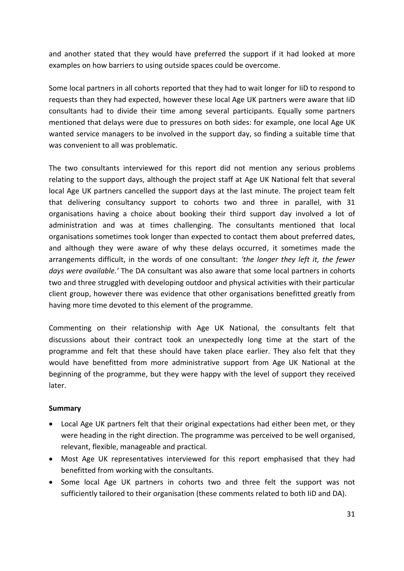and another stated that they would have preferred the support if it had looked at more examples on how barriers to using outside spaces could be overcome.

Some local partners in all cohorts reported that they had to wait longer for IiD to respond to requests than they had expected, however these local Age UK partners were aware that IiD consultants had to divide their time among several participants. Equally some partners mentioned that delays were due to pressures on both sides: for example, one local Age UK wanted service managers to be involved in the support day, so finding a suitable time that was convenient to all was problematic.

The two consultants interviewed for this report did not mention any serious problems relating to the support days, although the project staff at Age UK National felt that several local Age UK partners cancelled the support days at the last minute. The project team felt that delivering consultancy support to cohorts two and three in parallel, with 31 organisations having a choice about booking their third support day involved a lot of administration and was at times challenging. The consultants mentioned that local organisations sometimes took longer than expected to contact them about preferred dates, and although they were aware of why these delays occurred, it sometimes made the arrangements difficult, in the words of one consultant: *'the longer they left it, the fewer days were available.'* The DA consultant was also aware that some local partners in cohorts two and three struggled with developing outdoor and physical activities with their particular client group, however there was evidence that other organisations benefitted greatly from having more time devoted to this element of the programme.

Commenting on their relationship with Age UK National, the consultants felt that discussions about their contract took an unexpectedly long time at the start of the programme and felt that these should have taken place earlier. They also felt that they would have benefitted from more administrative support from Age UK National at the beginning of the programme, but they were happy with the level of support they received later.

#### **Summary**

- Local Age UK partners felt that their original expectations had either been met, or they were heading in the right direction. The programme was perceived to be well organised, relevant, flexible, manageable and practical.
- Most Age UK representatives interviewed for this report emphasised that they had benefitted from working with the consultants.
- Some local Age UK partners in cohorts two and three felt the support was not sufficiently tailored to their organisation (these comments related to both IiD and DA).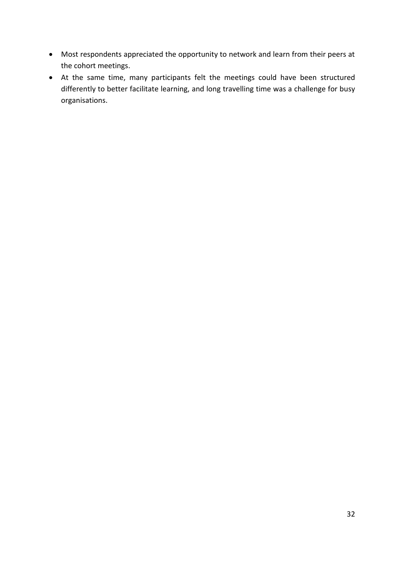- Most respondents appreciated the opportunity to network and learn from their peers at the cohort meetings.
- At the same time, many participants felt the meetings could have been structured differently to better facilitate learning, and long travelling time was a challenge for busy organisations.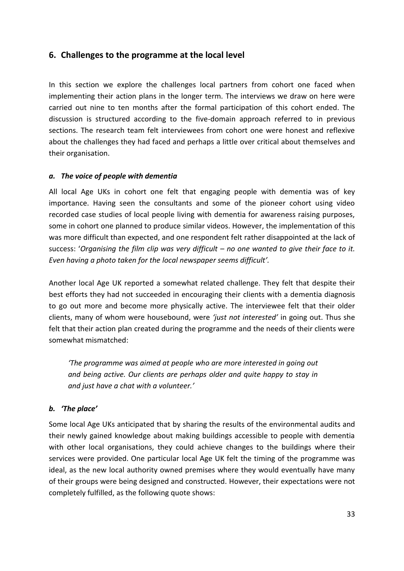## <span id="page-32-0"></span>**6. Challenges to the programme at the local level**

In this section we explore the challenges local partners from cohort one faced when implementing their action plans in the longer term. The interviews we draw on here were carried out nine to ten months after the formal participation of this cohort ended. The discussion is structured according to the five-domain approach referred to in previous sections. The research team felt interviewees from cohort one were honest and reflexive about the challenges they had faced and perhaps a little over critical about themselves and their organisation.

#### *a. The voice of people with dementia*

All local Age UKs in cohort one felt that engaging people with dementia was of key importance. Having seen the consultants and some of the pioneer cohort using video recorded case studies of local people living with dementia for awareness raising purposes, some in cohort one planned to produce similar videos. However, the implementation of this was more difficult than expected, and one respondent felt rather disappointed at the lack of success: '*Organising the film clip was very difficult – no one wanted to give their face to it. Even having a photo taken for the local newspaper seems difficult'.*

Another local Age UK reported a somewhat related challenge. They felt that despite their best efforts they had not succeeded in encouraging their clients with a dementia diagnosis to go out more and become more physically active. The interviewee felt that their older clients, many of whom were housebound, were *'just not interested'* in going out. Thus she felt that their action plan created during the programme and the needs of their clients were somewhat mismatched:

*'The programme was aimed at people who are more interested in going out and being active. Our clients are perhaps older and quite happy to stay in and just have a chat with a volunteer.'*

#### *b. 'The place'*

Some local Age UKs anticipated that by sharing the results of the environmental audits and their newly gained knowledge about making buildings accessible to people with dementia with other local organisations, they could achieve changes to the buildings where their services were provided. One particular local Age UK felt the timing of the programme was ideal, as the new local authority owned premises where they would eventually have many of their groups were being designed and constructed. However, their expectations were not completely fulfilled, as the following quote shows: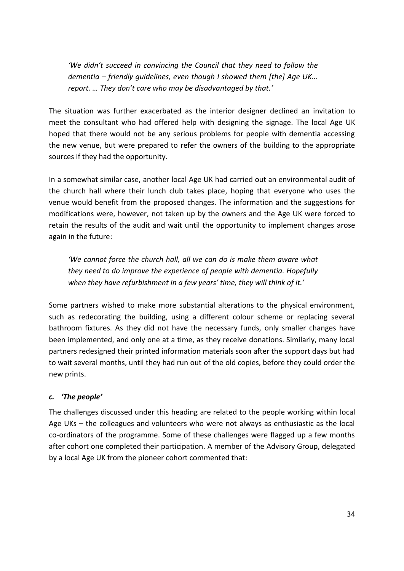*'We didn't succeed in convincing the Council that they need to follow the dementia – friendly guidelines, even though I showed them [the] Age UK... report. … They don't care who may be disadvantaged by that.'*

The situation was further exacerbated as the interior designer declined an invitation to meet the consultant who had offered help with designing the signage. The local Age UK hoped that there would not be any serious problems for people with dementia accessing the new venue, but were prepared to refer the owners of the building to the appropriate sources if they had the opportunity.

In a somewhat similar case, another local Age UK had carried out an environmental audit of the church hall where their lunch club takes place, hoping that everyone who uses the venue would benefit from the proposed changes. The information and the suggestions for modifications were, however, not taken up by the owners and the Age UK were forced to retain the results of the audit and wait until the opportunity to implement changes arose again in the future:

*'We cannot force the church hall, all we can do is make them aware what they need to do improve the experience of people with dementia. Hopefully when they have refurbishment in a few years' time, they will think of it.'*

Some partners wished to make more substantial alterations to the physical environment, such as redecorating the building, using a different colour scheme or replacing several bathroom fixtures. As they did not have the necessary funds, only smaller changes have been implemented, and only one at a time, as they receive donations. Similarly, many local partners redesigned their printed information materials soon after the support days but had to wait several months, until they had run out of the old copies, before they could order the new prints.

#### *c. 'The people'*

The challenges discussed under this heading are related to the people working within local Age UKs – the colleagues and volunteers who were not always as enthusiastic as the local co-ordinators of the programme. Some of these challenges were flagged up a few months after cohort one completed their participation. A member of the Advisory Group, delegated by a local Age UK from the pioneer cohort commented that: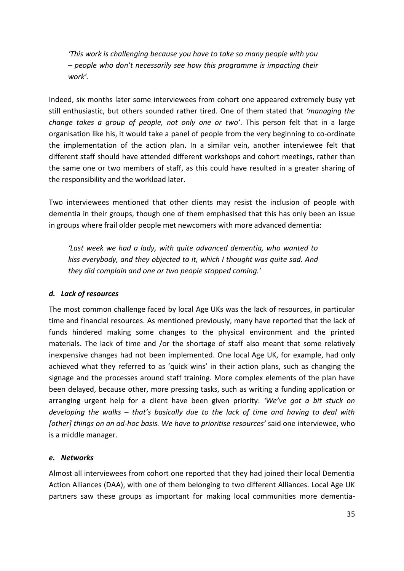*'This work is challenging because you have to take so many people with you – people who don't necessarily see how this programme is impacting their work'.*

Indeed, six months later some interviewees from cohort one appeared extremely busy yet still enthusiastic, but others sounded rather tired. One of them stated that *'managing the change takes a group of people, not only one or two'*. This person felt that in a large organisation like his, it would take a panel of people from the very beginning to co-ordinate the implementation of the action plan. In a similar vein, another interviewee felt that different staff should have attended different workshops and cohort meetings, rather than the same one or two members of staff, as this could have resulted in a greater sharing of the responsibility and the workload later.

Two interviewees mentioned that other clients may resist the inclusion of people with dementia in their groups, though one of them emphasised that this has only been an issue in groups where frail older people met newcomers with more advanced dementia:

*'Last week we had a lady, with quite advanced dementia, who wanted to kiss everybody, and they objected to it, which I thought was quite sad. And they did complain and one or two people stopped coming.'*

#### *d. Lack of resources*

The most common challenge faced by local Age UKs was the lack of resources, in particular time and financial resources. As mentioned previously, many have reported that the lack of funds hindered making some changes to the physical environment and the printed materials. The lack of time and /or the shortage of staff also meant that some relatively inexpensive changes had not been implemented. One local Age UK, for example, had only achieved what they referred to as 'quick wins' in their action plans, such as changing the signage and the processes around staff training. More complex elements of the plan have been delayed, because other, more pressing tasks, such as writing a funding application or arranging urgent help for a client have been given priority: *'We've got a bit stuck on developing the walks – that's basically due to the lack of time and having to deal with [other] things on an ad-hoc basis. We have to prioritise resources'* said one interviewee, who is a middle manager.

#### *e. Networks*

Almost all interviewees from cohort one reported that they had joined their local Dementia Action Alliances (DAA), with one of them belonging to two different Alliances. Local Age UK partners saw these groups as important for making local communities more dementia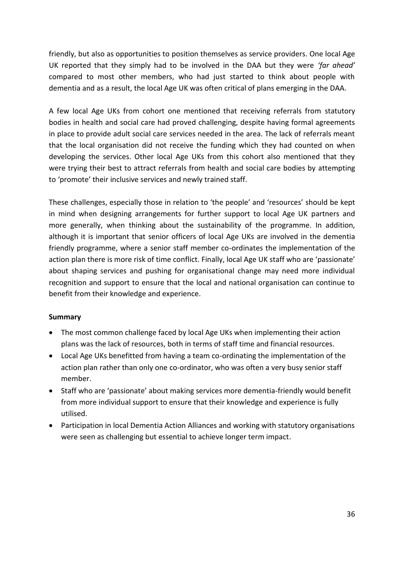friendly, but also as opportunities to position themselves as service providers. One local Age UK reported that they simply had to be involved in the DAA but they were *'far ahead'* compared to most other members, who had just started to think about people with dementia and as a result, the local Age UK was often critical of plans emerging in the DAA.

A few local Age UKs from cohort one mentioned that receiving referrals from statutory bodies in health and social care had proved challenging, despite having formal agreements in place to provide adult social care services needed in the area. The lack of referrals meant that the local organisation did not receive the funding which they had counted on when developing the services. Other local Age UKs from this cohort also mentioned that they were trying their best to attract referrals from health and social care bodies by attempting to 'promote' their inclusive services and newly trained staff.

These challenges, especially those in relation to 'the people' and 'resources' should be kept in mind when designing arrangements for further support to local Age UK partners and more generally, when thinking about the sustainability of the programme. In addition, although it is important that senior officers of local Age UKs are involved in the dementia friendly programme, where a senior staff member co-ordinates the implementation of the action plan there is more risk of time conflict. Finally, local Age UK staff who are 'passionate' about shaping services and pushing for organisational change may need more individual recognition and support to ensure that the local and national organisation can continue to benefit from their knowledge and experience.

#### **Summary**

- The most common challenge faced by local Age UKs when implementing their action plans was the lack of resources, both in terms of staff time and financial resources.
- Local Age UKs benefitted from having a team co-ordinating the implementation of the action plan rather than only one co-ordinator, who was often a very busy senior staff member.
- Staff who are 'passionate' about making services more dementia-friendly would benefit from more individual support to ensure that their knowledge and experience is fully utilised.
- Participation in local Dementia Action Alliances and working with statutory organisations were seen as challenging but essential to achieve longer term impact.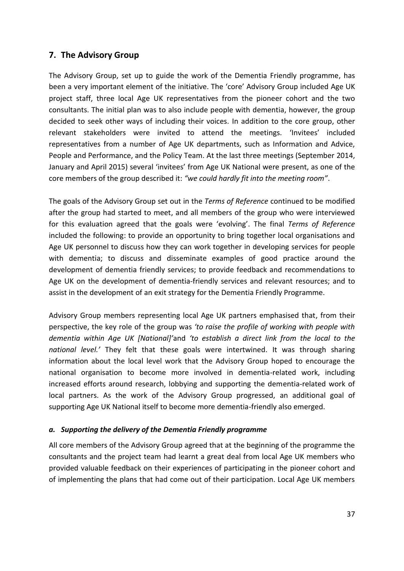## <span id="page-36-0"></span>**7. The Advisory Group**

The Advisory Group, set up to guide the work of the Dementia Friendly programme, has been a very important element of the initiative. The 'core' Advisory Group included Age UK project staff, three local Age UK representatives from the pioneer cohort and the two consultants. The initial plan was to also include people with dementia, however, the group decided to seek other ways of including their voices. In addition to the core group, other relevant stakeholders were invited to attend the meetings. 'Invitees' included representatives from a number of Age UK departments, such as Information and Advice, People and Performance, and the Policy Team. At the last three meetings (September 2014, January and April 2015) several 'invitees' from Age UK National were present, as one of the core members of the group described it: *"we could hardly fit into the meeting room"*.

The goals of the Advisory Group set out in the *Terms of Reference* continued to be modified after the group had started to meet, and all members of the group who were interviewed for this evaluation agreed that the goals were 'evolving'. The final *Terms of Reference* included the following: to provide an opportunity to bring together local organisations and Age UK personnel to discuss how they can work together in developing services for people with dementia; to discuss and disseminate examples of good practice around the development of dementia friendly services; to provide feedback and recommendations to Age UK on the development of dementia-friendly services and relevant resources; and to assist in the development of an exit strategy for the Dementia Friendly Programme.

Advisory Group members representing local Age UK partners emphasised that, from their perspective, the key role of the group was *'to raise the profile of working with people with dementia within Age UK [National]'*and *'to establish a direct link from the local to the national level.'* They felt that these goals were intertwined. It was through sharing information about the local level work that the Advisory Group hoped to encourage the national organisation to become more involved in dementia-related work, including increased efforts around research, lobbying and supporting the dementia-related work of local partners. As the work of the Advisory Group progressed, an additional goal of supporting Age UK National itself to become more dementia-friendly also emerged.

#### *a. Supporting the delivery of the Dementia Friendly programme*

All core members of the Advisory Group agreed that at the beginning of the programme the consultants and the project team had learnt a great deal from local Age UK members who provided valuable feedback on their experiences of participating in the pioneer cohort and of implementing the plans that had come out of their participation. Local Age UK members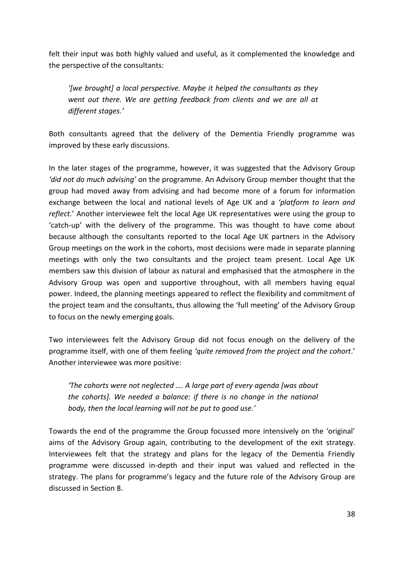felt their input was both highly valued and useful, as it complemented the knowledge and the perspective of the consultants:

*'[we brought] a local perspective. Maybe it helped the consultants as they went out there. We are getting feedback from clients and we are all at different stages.'*

Both consultants agreed that the delivery of the Dementia Friendly programme was improved by these early discussions.

In the later stages of the programme, however, it was suggested that the Advisory Group *'did not do much advising'* on the programme. An Advisory Group member thought that the group had moved away from advising and had become more of a forum for information exchange between the local and national levels of Age UK and a *'platform to learn and reflect*.' Another interviewee felt the local Age UK representatives were using the group to 'catch-up' with the delivery of the programme. This was thought to have come about because although the consultants reported to the local Age UK partners in the Advisory Group meetings on the work in the cohorts, most decisions were made in separate planning meetings with only the two consultants and the project team present. Local Age UK members saw this division of labour as natural and emphasised that the atmosphere in the Advisory Group was open and supportive throughout, with all members having equal power. Indeed, the planning meetings appeared to reflect the flexibility and commitment of the project team and the consultants, thus allowing the 'full meeting' of the Advisory Group to focus on the newly emerging goals.

Two interviewees felt the Advisory Group did not focus enough on the delivery of the programme itself, with one of them feeling *'quite removed from the project and the cohort*.' Another interviewee was more positive:

*'The cohorts were not neglected …. A large part of every agenda [was about the cohorts]. We needed a balance: if there is no change in the national body, then the local learning will not be put to good use.'*

Towards the end of the programme the Group focussed more intensively on the 'original' aims of the Advisory Group again, contributing to the development of the exit strategy. Interviewees felt that the strategy and plans for the legacy of the Dementia Friendly programme were discussed in-depth and their input was valued and reflected in the strategy. The plans for programme's legacy and the future role of the Advisory Group are discussed in Section 8.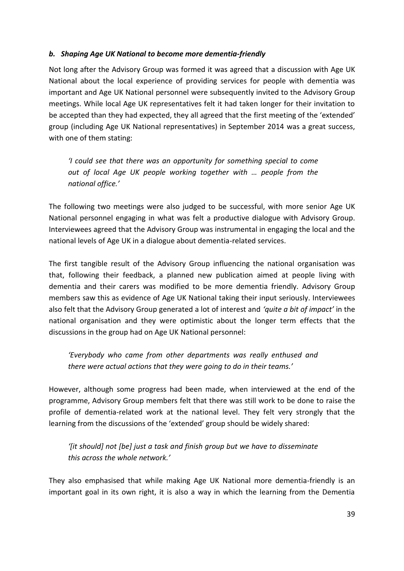#### *b. Shaping Age UK National to become more dementia-friendly*

Not long after the Advisory Group was formed it was agreed that a discussion with Age UK National about the local experience of providing services for people with dementia was important and Age UK National personnel were subsequently invited to the Advisory Group meetings. While local Age UK representatives felt it had taken longer for their invitation to be accepted than they had expected, they all agreed that the first meeting of the 'extended' group (including Age UK National representatives) in September 2014 was a great success, with one of them stating:

*'I could see that there was an opportunity for something special to come out of local Age UK people working together with … people from the national office.'*

The following two meetings were also judged to be successful, with more senior Age UK National personnel engaging in what was felt a productive dialogue with Advisory Group. Interviewees agreed that the Advisory Group was instrumental in engaging the local and the national levels of Age UK in a dialogue about dementia-related services.

The first tangible result of the Advisory Group influencing the national organisation was that, following their feedback, a planned new publication aimed at people living with dementia and their carers was modified to be more dementia friendly. Advisory Group members saw this as evidence of Age UK National taking their input seriously. Interviewees also felt that the Advisory Group generated a lot of interest and *'quite a bit of impact'* in the national organisation and they were optimistic about the longer term effects that the discussions in the group had on Age UK National personnel:

*'Everybody who came from other departments was really enthused and there were actual actions that they were going to do in their teams.'*

However, although some progress had been made, when interviewed at the end of the programme, Advisory Group members felt that there was still work to be done to raise the profile of dementia-related work at the national level. They felt very strongly that the learning from the discussions of the 'extended' group should be widely shared:

*'[it should] not [be] just a task and finish group but we have to disseminate this across the whole network.'*

They also emphasised that while making Age UK National more dementia-friendly is an important goal in its own right, it is also a way in which the learning from the Dementia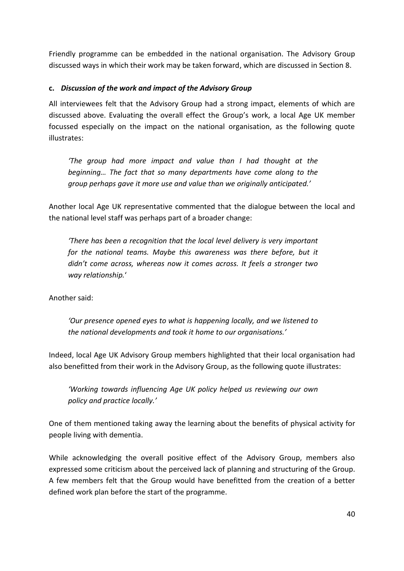Friendly programme can be embedded in the national organisation. The Advisory Group discussed ways in which their work may be taken forward, which are discussed in Section 8.

#### **c.** *Discussion of the work and impact of the Advisory Group*

All interviewees felt that the Advisory Group had a strong impact, elements of which are discussed above. Evaluating the overall effect the Group's work, a local Age UK member focussed especially on the impact on the national organisation, as the following quote illustrates:

*'The group had more impact and value than I had thought at the beginning… The fact that so many departments have come along to the group perhaps gave it more use and value than we originally anticipated.'* 

Another local Age UK representative commented that the dialogue between the local and the national level staff was perhaps part of a broader change:

*'There has been a recognition that the local level delivery is very important for the national teams. Maybe this awareness was there before, but it didn't come across, whereas now it comes across. It feels a stronger two way relationship.*'

Another said:

*'Our presence opened eyes to what is happening locally, and we listened to the national developments and took it home to our organisations.'*

Indeed, local Age UK Advisory Group members highlighted that their local organisation had also benefitted from their work in the Advisory Group, as the following quote illustrates:

*'Working towards influencing Age UK policy helped us reviewing our own policy and practice locally.'*

One of them mentioned taking away the learning about the benefits of physical activity for people living with dementia.

While acknowledging the overall positive effect of the Advisory Group, members also expressed some criticism about the perceived lack of planning and structuring of the Group. A few members felt that the Group would have benefitted from the creation of a better defined work plan before the start of the programme.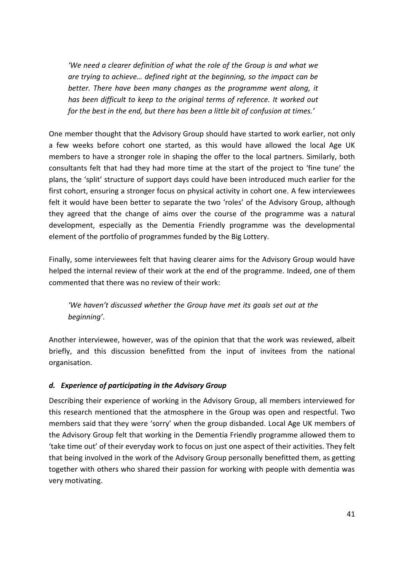*'We need a clearer definition of what the role of the Group is and what we are trying to achieve… defined right at the beginning, so the impact can be better. There have been many changes as the programme went along, it has been difficult to keep to the original terms of reference. It worked out for the best in the end, but there has been a little bit of confusion at times.'*

One member thought that the Advisory Group should have started to work earlier, not only a few weeks before cohort one started, as this would have allowed the local Age UK members to have a stronger role in shaping the offer to the local partners. Similarly, both consultants felt that had they had more time at the start of the project to 'fine tune' the plans, the 'split' structure of support days could have been introduced much earlier for the first cohort, ensuring a stronger focus on physical activity in cohort one. A few interviewees felt it would have been better to separate the two 'roles' of the Advisory Group, although they agreed that the change of aims over the course of the programme was a natural development, especially as the Dementia Friendly programme was the developmental element of the portfolio of programmes funded by the Big Lottery.

Finally, some interviewees felt that having clearer aims for the Advisory Group would have helped the internal review of their work at the end of the programme. Indeed, one of them commented that there was no review of their work:

*'We haven't discussed whether the Group have met its goals set out at the beginning'*.

Another interviewee, however, was of the opinion that that the work was reviewed, albeit briefly, and this discussion benefitted from the input of invitees from the national organisation.

#### *d. Experience of participating in the Advisory Group*

Describing their experience of working in the Advisory Group, all members interviewed for this research mentioned that the atmosphere in the Group was open and respectful. Two members said that they were 'sorry' when the group disbanded. Local Age UK members of the Advisory Group felt that working in the Dementia Friendly programme allowed them to 'take time out' of their everyday work to focus on just one aspect of their activities. They felt that being involved in the work of the Advisory Group personally benefitted them, as getting together with others who shared their passion for working with people with dementia was very motivating.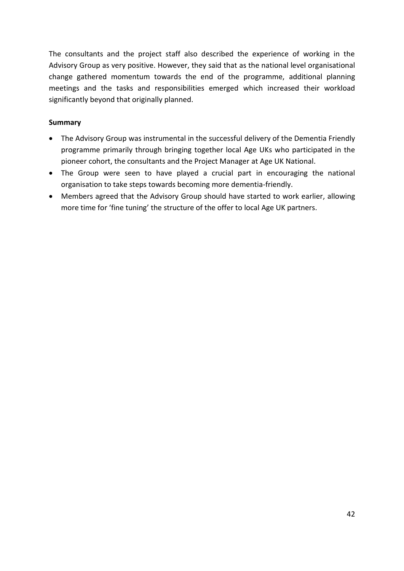The consultants and the project staff also described the experience of working in the Advisory Group as very positive. However, they said that as the national level organisational change gathered momentum towards the end of the programme, additional planning meetings and the tasks and responsibilities emerged which increased their workload significantly beyond that originally planned.

#### **Summary**

- The Advisory Group was instrumental in the successful delivery of the Dementia Friendly programme primarily through bringing together local Age UKs who participated in the pioneer cohort, the consultants and the Project Manager at Age UK National.
- The Group were seen to have played a crucial part in encouraging the national organisation to take steps towards becoming more dementia-friendly.
- Members agreed that the Advisory Group should have started to work earlier, allowing more time for 'fine tuning' the structure of the offer to local Age UK partners.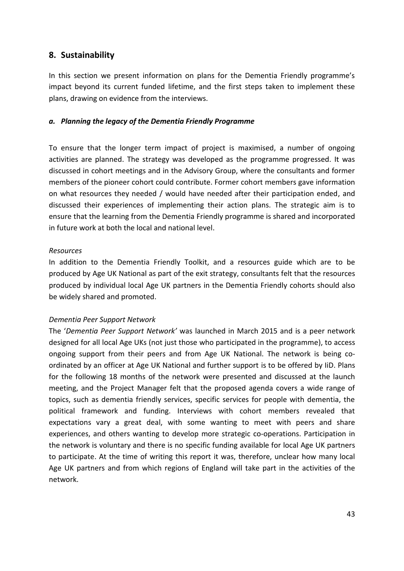### <span id="page-42-0"></span>**8. Sustainability**

In this section we present information on plans for the Dementia Friendly programme's impact beyond its current funded lifetime, and the first steps taken to implement these plans, drawing on evidence from the interviews.

#### *a. Planning the legacy of the Dementia Friendly Programme*

To ensure that the longer term impact of project is maximised, a number of ongoing activities are planned. The strategy was developed as the programme progressed. It was discussed in cohort meetings and in the Advisory Group, where the consultants and former members of the pioneer cohort could contribute. Former cohort members gave information on what resources they needed / would have needed after their participation ended, and discussed their experiences of implementing their action plans. The strategic aim is to ensure that the learning from the Dementia Friendly programme is shared and incorporated in future work at both the local and national level.

#### *Resources*

In addition to the Dementia Friendly Toolkit, and a resources guide which are to be produced by Age UK National as part of the exit strategy, consultants felt that the resources produced by individual local Age UK partners in the Dementia Friendly cohorts should also be widely shared and promoted.

#### *Dementia Peer Support Network*

The '*Dementia Peer Support Network'* was launched in March 2015 and is a peer network designed for all local Age UKs (not just those who participated in the programme), to access ongoing support from their peers and from Age UK National. The network is being coordinated by an officer at Age UK National and further support is to be offered by IiD. Plans for the following 18 months of the network were presented and discussed at the launch meeting, and the Project Manager felt that the proposed agenda covers a wide range of topics, such as dementia friendly services, specific services for people with dementia, the political framework and funding. Interviews with cohort members revealed that expectations vary a great deal, with some wanting to meet with peers and share experiences, and others wanting to develop more strategic co-operations. Participation in the network is voluntary and there is no specific funding available for local Age UK partners to participate. At the time of writing this report it was, therefore, unclear how many local Age UK partners and from which regions of England will take part in the activities of the network.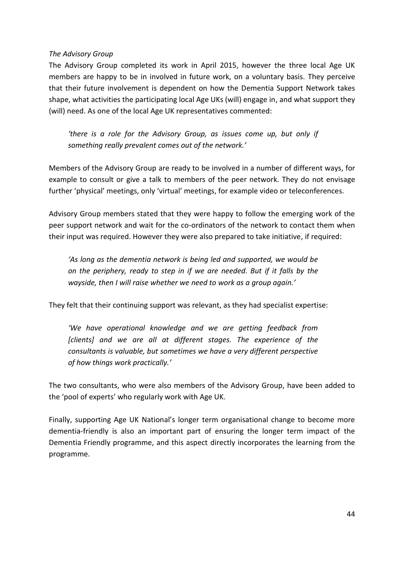#### *The Advisory Group*

The Advisory Group completed its work in April 2015, however the three local Age UK members are happy to be in involved in future work, on a voluntary basis. They perceive that their future involvement is dependent on how the Dementia Support Network takes shape, what activities the participating local Age UKs (will) engage in, and what support they (will) need. As one of the local Age UK representatives commented:

*'there is a role for the Advisory Group, as issues come up, but only if something really prevalent comes out of the network.'*

Members of the Advisory Group are ready to be involved in a number of different ways, for example to consult or give a talk to members of the peer network. They do not envisage further 'physical' meetings, only 'virtual' meetings, for example video or teleconferences.

Advisory Group members stated that they were happy to follow the emerging work of the peer support network and wait for the co-ordinators of the network to contact them when their input was required. However they were also prepared to take initiative, if required:

*'As long as the dementia network is being led and supported, we would be on the periphery, ready to step in if we are needed. But if it falls by the wayside, then I will raise whether we need to work as a group again.'* 

They felt that their continuing support was relevant, as they had specialist expertise:

*'We have operational knowledge and we are getting feedback from [clients] and we are all at different stages. The experience of the consultants is valuable, but sometimes we have a very different perspective of how things work practically.'*

The two consultants, who were also members of the Advisory Group, have been added to the 'pool of experts' who regularly work with Age UK.

Finally, supporting Age UK National's longer term organisational change to become more dementia-friendly is also an important part of ensuring the longer term impact of the Dementia Friendly programme, and this aspect directly incorporates the learning from the programme.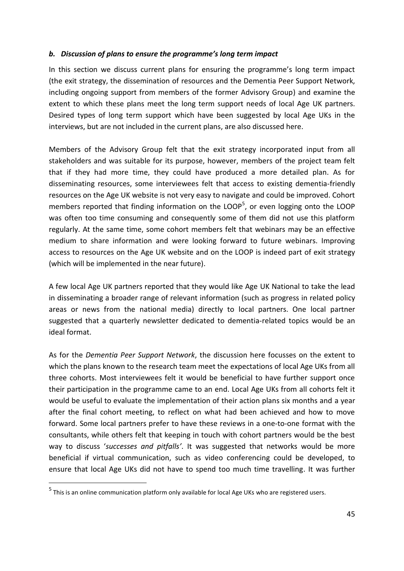#### *b. Discussion of plans to ensure the programme's long term impact*

In this section we discuss current plans for ensuring the programme's long term impact (the exit strategy, the dissemination of resources and the Dementia Peer Support Network, including ongoing support from members of the former Advisory Group) and examine the extent to which these plans meet the long term support needs of local Age UK partners. Desired types of long term support which have been suggested by local Age UKs in the interviews, but are not included in the current plans, are also discussed here.

Members of the Advisory Group felt that the exit strategy incorporated input from all stakeholders and was suitable for its purpose, however, members of the project team felt that if they had more time, they could have produced a more detailed plan. As for disseminating resources, some interviewees felt that access to existing dementia-friendly resources on the Age UK website is not very easy to navigate and could be improved. Cohort members reported that finding information on the LOOP<sup>5</sup>, or even logging onto the LOOP was often too time consuming and consequently some of them did not use this platform regularly. At the same time, some cohort members felt that webinars may be an effective medium to share information and were looking forward to future webinars. Improving access to resources on the Age UK website and on the LOOP is indeed part of exit strategy (which will be implemented in the near future).

A few local Age UK partners reported that they would like Age UK National to take the lead in disseminating a broader range of relevant information (such as progress in related policy areas or news from the national media) directly to local partners. One local partner suggested that a quarterly newsletter dedicated to dementia-related topics would be an ideal format.

As for the *Dementia Peer Support Network*, the discussion here focusses on the extent to which the plans known to the research team meet the expectations of local Age UKs from all three cohorts. Most interviewees felt it would be beneficial to have further support once their participation in the programme came to an end. Local Age UKs from all cohorts felt it would be useful to evaluate the implementation of their action plans six months and a year after the final cohort meeting, to reflect on what had been achieved and how to move forward. Some local partners prefer to have these reviews in a one-to-one format with the consultants, while others felt that keeping in touch with cohort partners would be the best way to discuss '*successes and pitfalls'*. It was suggested that networks would be more beneficial if virtual communication, such as video conferencing could be developed, to ensure that local Age UKs did not have to spend too much time travelling. It was further

-

<sup>&</sup>lt;sup>5</sup> This is an online communication platform only available for local Age UKs who are registered users.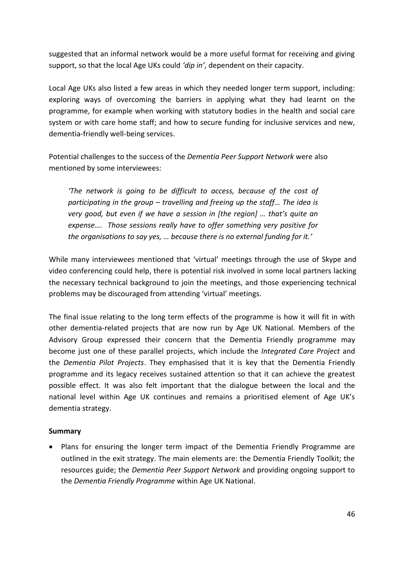suggested that an informal network would be a more useful format for receiving and giving support, so that the local Age UKs could *'dip in'*, dependent on their capacity.

Local Age UKs also listed a few areas in which they needed longer term support, including: exploring ways of overcoming the barriers in applying what they had learnt on the programme, for example when working with statutory bodies in the health and social care system or with care home staff; and how to secure funding for inclusive services and new, dementia-friendly well-being services.

Potential challenges to the success of the *Dementia Peer Support Network* were also mentioned by some interviewees:

*'The network is going to be difficult to access, because of the cost of participating in the group – travelling and freeing up the staff… The idea is very good, but even if we have a session in [the region] … that's quite an expense…. Those sessions really have to offer something very positive for the organisations to say yes, … because there is no external funding for it.'*

While many interviewees mentioned that 'virtual' meetings through the use of Skype and video conferencing could help, there is potential risk involved in some local partners lacking the necessary technical background to join the meetings, and those experiencing technical problems may be discouraged from attending 'virtual' meetings.

The final issue relating to the long term effects of the programme is how it will fit in with other dementia-related projects that are now run by Age UK National. Members of the Advisory Group expressed their concern that the Dementia Friendly programme may become just one of these parallel projects, which include the *Integrated Care Project* and the *Dementia Pilot Projects*. They emphasised that it is key that the Dementia Friendly programme and its legacy receives sustained attention so that it can achieve the greatest possible effect. It was also felt important that the dialogue between the local and the national level within Age UK continues and remains a prioritised element of Age UK's dementia strategy.

#### **Summary**

• Plans for ensuring the longer term impact of the Dementia Friendly Programme are outlined in the exit strategy. The main elements are: the Dementia Friendly Toolkit; the resources guide; the *Dementia Peer Support Network* and providing ongoing support to the *Dementia Friendly Programme* within Age UK National.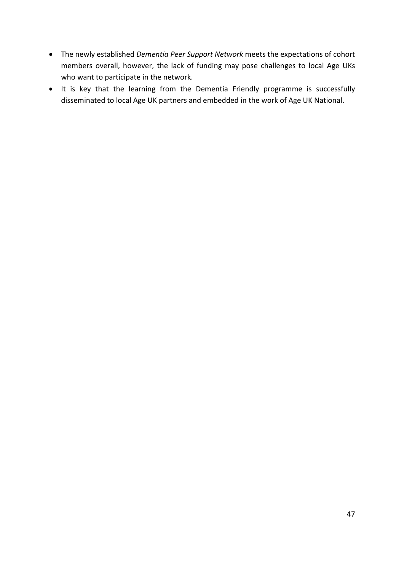- The newly established *Dementia Peer Support Network* meets the expectations of cohort members overall, however, the lack of funding may pose challenges to local Age UKs who want to participate in the network.
- It is key that the learning from the Dementia Friendly programme is successfully disseminated to local Age UK partners and embedded in the work of Age UK National.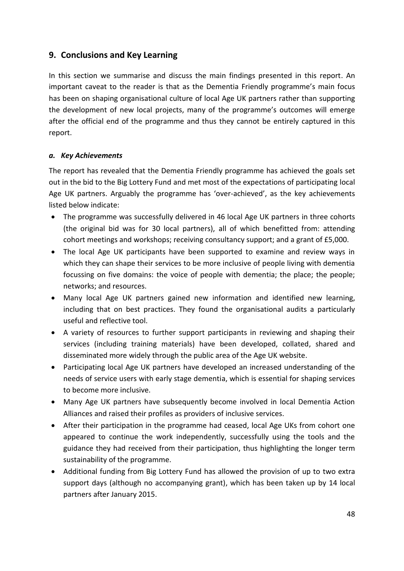## <span id="page-47-0"></span>**9. Conclusions and Key Learning**

In this section we summarise and discuss the main findings presented in this report. An important caveat to the reader is that as the Dementia Friendly programme's main focus has been on shaping organisational culture of local Age UK partners rather than supporting the development of new local projects, many of the programme's outcomes will emerge after the official end of the programme and thus they cannot be entirely captured in this report.

#### *a. Key Achievements*

The report has revealed that the Dementia Friendly programme has achieved the goals set out in the bid to the Big Lottery Fund and met most of the expectations of participating local Age UK partners. Arguably the programme has 'over-achieved', as the key achievements listed below indicate:

- The programme was successfully delivered in 46 local Age UK partners in three cohorts (the original bid was for 30 local partners), all of which benefitted from: attending cohort meetings and workshops; receiving consultancy support; and a grant of £5,000.
- The local Age UK participants have been supported to examine and review ways in which they can shape their services to be more inclusive of people living with dementia focussing on five domains: the voice of people with dementia; the place; the people; networks; and resources.
- Many local Age UK partners gained new information and identified new learning, including that on best practices. They found the organisational audits a particularly useful and reflective tool.
- A variety of resources to further support participants in reviewing and shaping their services (including training materials) have been developed, collated, shared and disseminated more widely through the public area of the Age UK website.
- Participating local Age UK partners have developed an increased understanding of the needs of service users with early stage dementia, which is essential for shaping services to become more inclusive.
- Many Age UK partners have subsequently become involved in local Dementia Action Alliances and raised their profiles as providers of inclusive services.
- After their participation in the programme had ceased, local Age UKs from cohort one appeared to continue the work independently, successfully using the tools and the guidance they had received from their participation, thus highlighting the longer term sustainability of the programme.
- Additional funding from Big Lottery Fund has allowed the provision of up to two extra support days (although no accompanying grant), which has been taken up by 14 local partners after January 2015.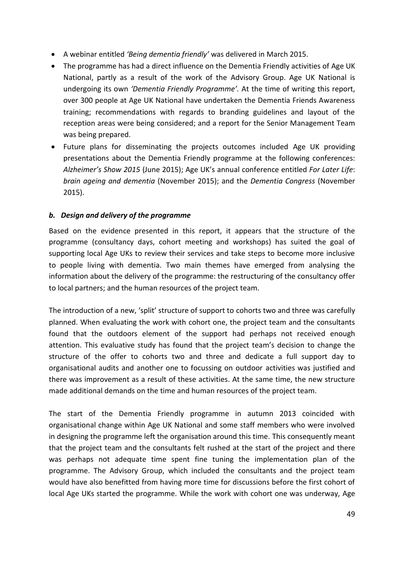- A webinar entitled *'Being dementia friendly'* was delivered in March 2015.
- The programme has had a direct influence on the Dementia Friendly activities of Age UK National, partly as a result of the work of the Advisory Group. Age UK National is undergoing its own *'Dementia Friendly Programme'.* At the time of writing this report, over 300 people at Age UK National have undertaken the Dementia Friends Awareness training; recommendations with regards to branding guidelines and layout of the reception areas were being considered; and a report for the Senior Management Team was being prepared.
- Future plans for disseminating the projects outcomes included Age UK providing presentations about the Dementia Friendly programme at the following conferences: *Alzheimer's Show 2015* (June 2015); Age UK's annual conference entitled *For Later Life*: *brain ageing and dementia* (November 2015); and the *Dementia Congress* (November 2015).

#### *b. Design and delivery of the programme*

Based on the evidence presented in this report, it appears that the structure of the programme (consultancy days, cohort meeting and workshops) has suited the goal of supporting local Age UKs to review their services and take steps to become more inclusive to people living with dementia. Two main themes have emerged from analysing the information about the delivery of the programme: the restructuring of the consultancy offer to local partners; and the human resources of the project team.

The introduction of a new, 'split' structure of support to cohorts two and three was carefully planned. When evaluating the work with cohort one, the project team and the consultants found that the outdoors element of the support had perhaps not received enough attention. This evaluative study has found that the project team's decision to change the structure of the offer to cohorts two and three and dedicate a full support day to organisational audits and another one to focussing on outdoor activities was justified and there was improvement as a result of these activities. At the same time, the new structure made additional demands on the time and human resources of the project team.

The start of the Dementia Friendly programme in autumn 2013 coincided with organisational change within Age UK National and some staff members who were involved in designing the programme left the organisation around this time. This consequently meant that the project team and the consultants felt rushed at the start of the project and there was perhaps not adequate time spent fine tuning the implementation plan of the programme. The Advisory Group, which included the consultants and the project team would have also benefitted from having more time for discussions before the first cohort of local Age UKs started the programme. While the work with cohort one was underway, Age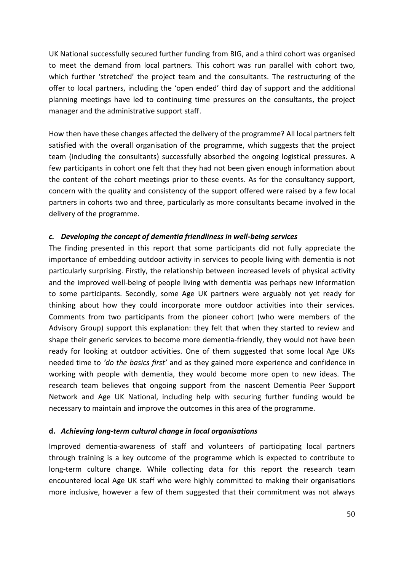UK National successfully secured further funding from BIG, and a third cohort was organised to meet the demand from local partners. This cohort was run parallel with cohort two, which further 'stretched' the project team and the consultants. The restructuring of the offer to local partners, including the 'open ended' third day of support and the additional planning meetings have led to continuing time pressures on the consultants, the project manager and the administrative support staff.

How then have these changes affected the delivery of the programme? All local partners felt satisfied with the overall organisation of the programme, which suggests that the project team (including the consultants) successfully absorbed the ongoing logistical pressures. A few participants in cohort one felt that they had not been given enough information about the content of the cohort meetings prior to these events. As for the consultancy support, concern with the quality and consistency of the support offered were raised by a few local partners in cohorts two and three, particularly as more consultants became involved in the delivery of the programme.

#### *c. Developing the concept of dementia friendliness in well-being services*

The finding presented in this report that some participants did not fully appreciate the importance of embedding outdoor activity in services to people living with dementia is not particularly surprising. Firstly, the relationship between increased levels of physical activity and the improved well-being of people living with dementia was perhaps new information to some participants. Secondly, some Age UK partners were arguably not yet ready for thinking about how they could incorporate more outdoor activities into their services. Comments from two participants from the pioneer cohort (who were members of the Advisory Group) support this explanation: they felt that when they started to review and shape their generic services to become more dementia-friendly, they would not have been ready for looking at outdoor activities. One of them suggested that some local Age UKs needed time to *'do the basics first'* and as they gained more experience and confidence in working with people with dementia, they would become more open to new ideas. The research team believes that ongoing support from the nascent Dementia Peer Support Network and Age UK National, including help with securing further funding would be necessary to maintain and improve the outcomes in this area of the programme.

#### **d.** *Achieving long-term cultural change in local organisations*

Improved dementia-awareness of staff and volunteers of participating local partners through training is a key outcome of the programme which is expected to contribute to long-term culture change. While collecting data for this report the research team encountered local Age UK staff who were highly committed to making their organisations more inclusive, however a few of them suggested that their commitment was not always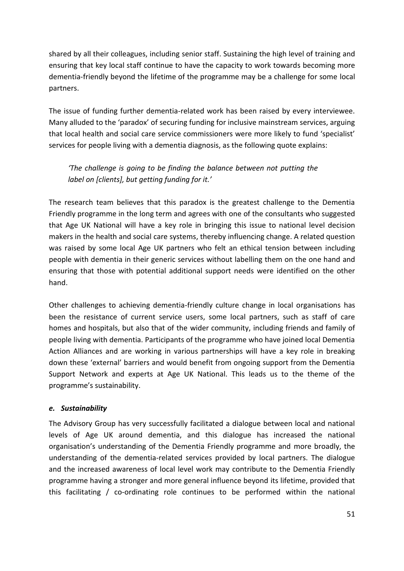shared by all their colleagues, including senior staff. Sustaining the high level of training and ensuring that key local staff continue to have the capacity to work towards becoming more dementia-friendly beyond the lifetime of the programme may be a challenge for some local partners.

The issue of funding further dementia-related work has been raised by every interviewee. Many alluded to the 'paradox' of securing funding for inclusive mainstream services, arguing that local health and social care service commissioners were more likely to fund 'specialist' services for people living with a dementia diagnosis, as the following quote explains:

## *'The challenge is going to be finding the balance between not putting the label on [clients], but getting funding for it.'*

The research team believes that this paradox is the greatest challenge to the Dementia Friendly programme in the long term and agrees with one of the consultants who suggested that Age UK National will have a key role in bringing this issue to national level decision makers in the health and social care systems, thereby influencing change. A related question was raised by some local Age UK partners who felt an ethical tension between including people with dementia in their generic services without labelling them on the one hand and ensuring that those with potential additional support needs were identified on the other hand.

Other challenges to achieving dementia-friendly culture change in local organisations has been the resistance of current service users, some local partners, such as staff of care homes and hospitals, but also that of the wider community, including friends and family of people living with dementia. Participants of the programme who have joined local Dementia Action Alliances and are working in various partnerships will have a key role in breaking down these 'external' barriers and would benefit from ongoing support from the Dementia Support Network and experts at Age UK National. This leads us to the theme of the programme's sustainability.

#### *e. Sustainability*

The Advisory Group has very successfully facilitated a dialogue between local and national levels of Age UK around dementia, and this dialogue has increased the national organisation's understanding of the Dementia Friendly programme and more broadly, the understanding of the dementia-related services provided by local partners. The dialogue and the increased awareness of local level work may contribute to the Dementia Friendly programme having a stronger and more general influence beyond its lifetime, provided that this facilitating / co-ordinating role continues to be performed within the national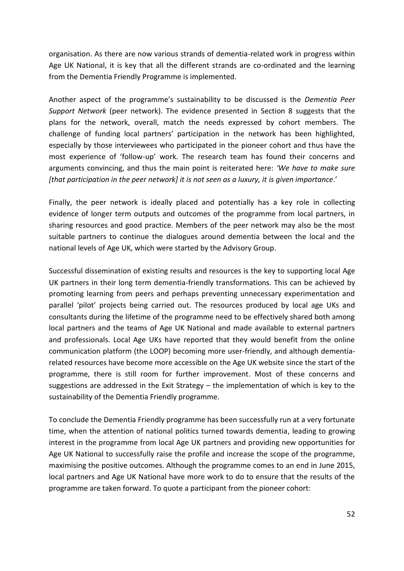organisation. As there are now various strands of dementia-related work in progress within Age UK National, it is key that all the different strands are co-ordinated and the learning from the Dementia Friendly Programme is implemented.

Another aspect of the programme's sustainability to be discussed is the *Dementia Peer Support Network* (peer network). The evidence presented in Section 8 suggests that the plans for the network, overall, match the needs expressed by cohort members. The challenge of funding local partners' participation in the network has been highlighted, especially by those interviewees who participated in the pioneer cohort and thus have the most experience of 'follow-up' work. The research team has found their concerns and arguments convincing, and thus the main point is reiterated here: *'We have to make sure [that participation in the peer network] it is not seen as a luxury, it is given importance*.'

Finally, the peer network is ideally placed and potentially has a key role in collecting evidence of longer term outputs and outcomes of the programme from local partners, in sharing resources and good practice. Members of the peer network may also be the most suitable partners to continue the dialogues around dementia between the local and the national levels of Age UK, which were started by the Advisory Group.

Successful dissemination of existing results and resources is the key to supporting local Age UK partners in their long term dementia-friendly transformations. This can be achieved by promoting learning from peers and perhaps preventing unnecessary experimentation and parallel 'pilot' projects being carried out. The resources produced by local age UKs and consultants during the lifetime of the programme need to be effectively shared both among local partners and the teams of Age UK National and made available to external partners and professionals. Local Age UKs have reported that they would benefit from the online communication platform (the LOOP) becoming more user-friendly, and although dementiarelated resources have become more accessible on the Age UK website since the start of the programme, there is still room for further improvement. Most of these concerns and suggestions are addressed in the Exit Strategy – the implementation of which is key to the sustainability of the Dementia Friendly programme.

To conclude the Dementia Friendly programme has been successfully run at a very fortunate time, when the attention of national politics turned towards dementia, leading to growing interest in the programme from local Age UK partners and providing new opportunities for Age UK National to successfully raise the profile and increase the scope of the programme, maximising the positive outcomes. Although the programme comes to an end in June 2015, local partners and Age UK National have more work to do to ensure that the results of the programme are taken forward. To quote a participant from the pioneer cohort: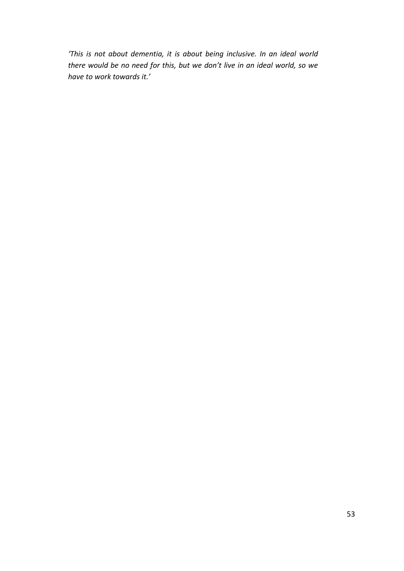*'This is not about dementia, it is about being inclusive. In an ideal world there would be no need for this, but we don't live in an ideal world, so we have to work towards it.'*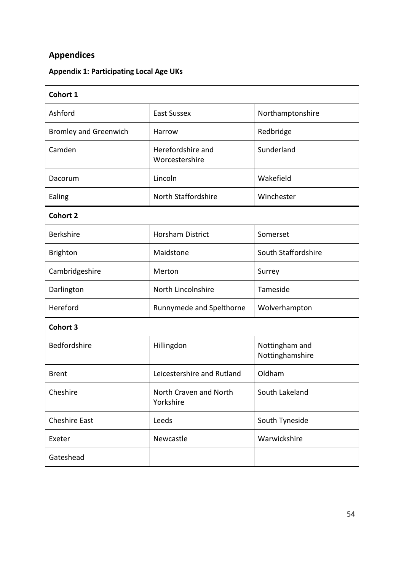## <span id="page-53-0"></span>**Appendices**

## **Appendix 1: Participating Local Age UKs**

| Cohort 1                     |                                     |                                   |  |  |  |  |
|------------------------------|-------------------------------------|-----------------------------------|--|--|--|--|
| Ashford                      | <b>East Sussex</b>                  | Northamptonshire                  |  |  |  |  |
| <b>Bromley and Greenwich</b> | Harrow                              | Redbridge                         |  |  |  |  |
| Camden                       | Herefordshire and<br>Worcestershire | Sunderland                        |  |  |  |  |
| Dacorum                      | Lincoln                             | Wakefield                         |  |  |  |  |
| Ealing                       | North Staffordshire                 | Winchester                        |  |  |  |  |
| <b>Cohort 2</b>              |                                     |                                   |  |  |  |  |
| <b>Berkshire</b>             | <b>Horsham District</b>             | Somerset                          |  |  |  |  |
| <b>Brighton</b>              | Maidstone                           | South Staffordshire               |  |  |  |  |
| Cambridgeshire               | Merton                              | Surrey                            |  |  |  |  |
| Darlington                   | North Lincolnshire                  | Tameside                          |  |  |  |  |
| Hereford                     | Runnymede and Spelthorne            | Wolverhampton                     |  |  |  |  |
| <b>Cohort 3</b>              |                                     |                                   |  |  |  |  |
| Bedfordshire                 | Hillingdon                          | Nottingham and<br>Nottinghamshire |  |  |  |  |
| <b>Brent</b>                 | Leicestershire and Rutland          | Oldham                            |  |  |  |  |
| Cheshire                     | North Craven and North<br>Yorkshire | South Lakeland                    |  |  |  |  |
| <b>Cheshire East</b>         | Leeds                               | South Tyneside                    |  |  |  |  |
| Exeter                       | Newcastle                           | Warwickshire                      |  |  |  |  |
| Gateshead                    |                                     |                                   |  |  |  |  |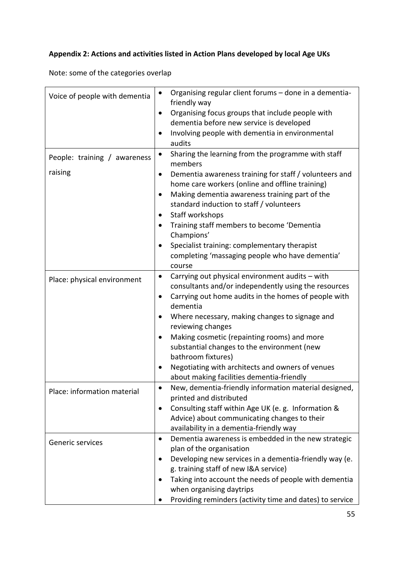## **Appendix 2: Actions and activities listed in Action Plans developed by local Age UKs**

Note: some of the categories overlap

| Voice of people with dementia           | Organising regular client forums - done in a dementia-<br>$\bullet$<br>friendly way<br>Organising focus groups that include people with<br>dementia before new service is developed<br>Involving people with dementia in environmental<br>audits                                                                                                                                                                                                                                                                      |
|-----------------------------------------|-----------------------------------------------------------------------------------------------------------------------------------------------------------------------------------------------------------------------------------------------------------------------------------------------------------------------------------------------------------------------------------------------------------------------------------------------------------------------------------------------------------------------|
| People: training / awareness<br>raising | Sharing the learning from the programme with staff<br>$\bullet$<br>members<br>Dementia awareness training for staff / volunteers and<br>home care workers (online and offline training)<br>Making dementia awareness training part of the<br>$\bullet$<br>standard induction to staff / volunteers<br>Staff workshops<br>٠<br>Training staff members to become 'Dementia<br>٠<br>Champions'<br>Specialist training: complementary therapist<br>$\bullet$<br>completing 'massaging people who have dementia'<br>course |
| Place: physical environment             | Carrying out physical environment audits - with<br>$\bullet$<br>consultants and/or independently using the resources<br>Carrying out home audits in the homes of people with<br>dementia<br>Where necessary, making changes to signage and<br>reviewing changes<br>Making cosmetic (repainting rooms) and more<br>substantial changes to the environment (new<br>bathroom fixtures)<br>Negotiating with architects and owners of venues<br>about making facilities dementia-friendly                                  |
| Place: information material             | New, dementia-friendly information material designed,<br>printed and distributed<br>Consulting staff within Age UK (e. g. Information &<br>Advice) about communicating changes to their<br>availability in a dementia-friendly way                                                                                                                                                                                                                                                                                    |
| Generic services                        | Dementia awareness is embedded in the new strategic<br>plan of the organisation<br>Developing new services in a dementia-friendly way (e.<br>g. training staff of new I&A service)<br>Taking into account the needs of people with dementia<br>when organising daytrips<br>Providing reminders (activity time and dates) to service                                                                                                                                                                                   |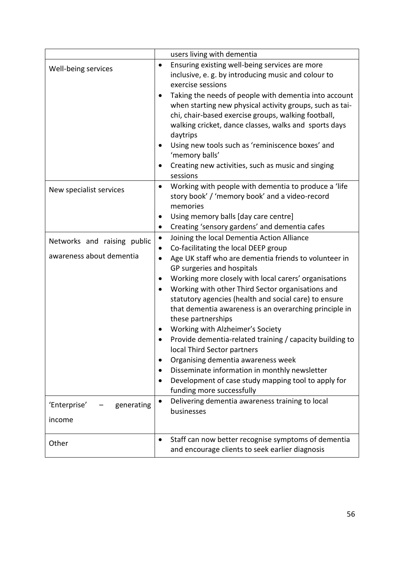|                             | users living with dementia                                                                                                                                                                                                                                                                                                                                                                                                                               |
|-----------------------------|----------------------------------------------------------------------------------------------------------------------------------------------------------------------------------------------------------------------------------------------------------------------------------------------------------------------------------------------------------------------------------------------------------------------------------------------------------|
| Well-being services         | Ensuring existing well-being services are more<br>$\bullet$<br>inclusive, e.g. by introducing music and colour to<br>exercise sessions<br>Taking the needs of people with dementia into account<br>$\bullet$<br>when starting new physical activity groups, such as tai-<br>chi, chair-based exercise groups, walking football,<br>walking cricket, dance classes, walks and sports days<br>daytrips<br>Using new tools such as 'reminiscence boxes' and |
|                             | 'memory balls'<br>Creating new activities, such as music and singing<br>sessions                                                                                                                                                                                                                                                                                                                                                                         |
| New specialist services     | Working with people with dementia to produce a 'life<br>$\bullet$<br>story book' / 'memory book' and a video-record<br>memories                                                                                                                                                                                                                                                                                                                          |
|                             | Using memory balls [day care centre]                                                                                                                                                                                                                                                                                                                                                                                                                     |
|                             | Creating 'sensory gardens' and dementia cafes<br>٠                                                                                                                                                                                                                                                                                                                                                                                                       |
| Networks and raising public | Joining the local Dementia Action Alliance<br>$\bullet$                                                                                                                                                                                                                                                                                                                                                                                                  |
| awareness about dementia    | Co-facilitating the local DEEP group<br>Age UK staff who are dementia friends to volunteer in<br>$\bullet$                                                                                                                                                                                                                                                                                                                                               |
|                             | GP surgeries and hospitals                                                                                                                                                                                                                                                                                                                                                                                                                               |
|                             | Working more closely with local carers' organisations<br>$\bullet$                                                                                                                                                                                                                                                                                                                                                                                       |
|                             | Working with other Third Sector organisations and<br>statutory agencies (health and social care) to ensure<br>that dementia awareness is an overarching principle in                                                                                                                                                                                                                                                                                     |
|                             | these partnerships                                                                                                                                                                                                                                                                                                                                                                                                                                       |
|                             | Working with Alzheimer's Society                                                                                                                                                                                                                                                                                                                                                                                                                         |
|                             | Provide dementia-related training / capacity building to<br>local Third Sector partners                                                                                                                                                                                                                                                                                                                                                                  |
|                             | Organising dementia awareness week                                                                                                                                                                                                                                                                                                                                                                                                                       |
|                             | Disseminate information in monthly newsletter                                                                                                                                                                                                                                                                                                                                                                                                            |
|                             | Development of case study mapping tool to apply for<br>funding more successfully                                                                                                                                                                                                                                                                                                                                                                         |
| 'Enterprise'<br>generating  | Delivering dementia awareness training to local<br>$\bullet$                                                                                                                                                                                                                                                                                                                                                                                             |
| income                      | businesses                                                                                                                                                                                                                                                                                                                                                                                                                                               |
| Other                       | Staff can now better recognise symptoms of dementia<br>$\bullet$<br>and encourage clients to seek earlier diagnosis                                                                                                                                                                                                                                                                                                                                      |